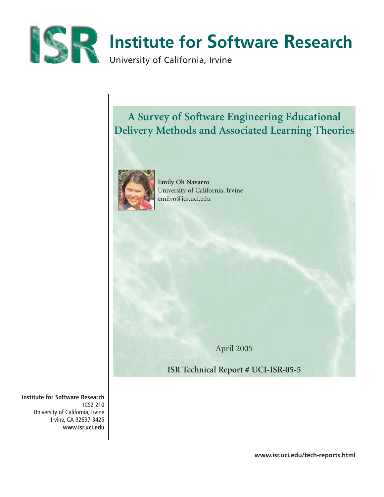

# **A Survey of Software Engineering Educational Delivery Methods and Associated Learning Theories**



**Emily Oh Navarro** University of California, Irvine emilyo@ics.uci.edu

April 2005

**ISR Technical Report # UCI-ISR-05-5**

**Institute for Software Research** ICS2 210 University of California, Irvine Irvine, CA 92697-3425 **www.isr.uci.edu**

**www.isr.uci.edu/tech-reports.html**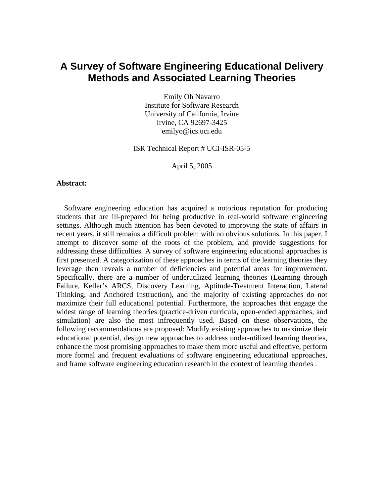### **A Survey of Software Engineering Educational Delivery Methods and Associated Learning Theories**

Emily Oh Navarro Institute for Software Research University of California, Irvine Irvine, CA 92697-3425 emilyo@ics.uci.edu

#### ISR Technical Report # UCI-ISR-05-5

April 5, 2005

#### **Abstract:**

Software engineering education has acquired a notorious reputation for producing students that are ill-prepared for being productive in real-world software engineering settings. Although much attention has been devoted to improving the state of affairs in recent years, it still remains a difficult problem with no obvious solutions. In this paper, I attempt to discover some of the roots of the problem, and provide suggestions for addressing these difficulties. A survey of software engineering educational approaches is first presented. A categorization of these approaches in terms of the learning theories they leverage then reveals a number of deficiencies and potential areas for improvement. Specifically, there are a number of underutilized learning theories (Learning through Failure, Keller's ARCS, Discovery Learning, Aptitude-Treatment Interaction, Lateral Thinking, and Anchored Instruction), and the majority of existing approaches do not maximize their full educational potential. Furthermore, the approaches that engage the widest range of learning theories (practice-driven curricula, open-ended approaches, and simulation) are also the most infrequently used. Based on these observations, the following recommendations are proposed: Modify existing approaches to maximize their educational potential, design new approaches to address under-utilized learning theories, enhance the most promising approaches to make them more useful and effective, perform more formal and frequent evaluations of software engineering educational approaches, and frame software engineering education research in the context of learning theories .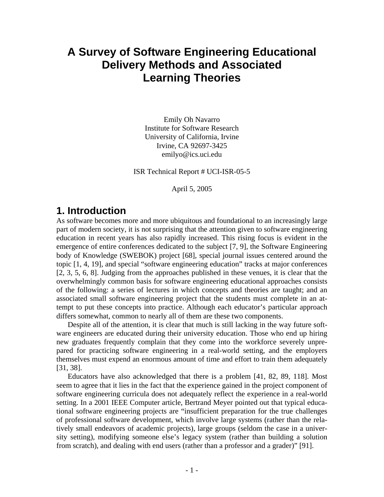# **A Survey of Software Engineering Educational Delivery Methods and Associated Learning Theories**

Emily Oh Navarro Institute for Software Research University of California, Irvine Irvine, CA 92697-3425 emilyo@ics.uci.edu

ISR Technical Report # UCI-ISR-05-5

April 5, 2005

### **1. Introduction**

As software becomes more and more ubiquitous and foundational to an increasingly large part of modern society, it is not surprising that the attention given to software engineering education in recent years has also rapidly increased. This rising focus is evident in the emergence of entire conferences dedicated to the subject [7, 9], the Software Engineering body of Knowledge (SWEBOK) project [68], special journal issues centered around the topic [1, 4, 19], and special "software engineering education" tracks at major conferences [2, 3, 5, 6, 8]. Judging from the approaches published in these venues, it is clear that the overwhelmingly common basis for software engineering educational approaches consists of the following: a series of lectures in which concepts and theories are taught; and an associated small software engineering project that the students must complete in an attempt to put these concepts into practice. Although each educator's particular approach differs somewhat, common to nearly all of them are these two components.

Despite all of the attention, it is clear that much is still lacking in the way future software engineers are educated during their university education. Those who end up hiring new graduates frequently complain that they come into the workforce severely unprepared for practicing software engineering in a real-world setting, and the employers themselves must expend an enormous amount of time and effort to train them adequately [31, 38].

Educators have also acknowledged that there is a problem [41, 82, 89, 118]. Most seem to agree that it lies in the fact that the experience gained in the project component of software engineering curricula does not adequately reflect the experience in a real-world setting. In a 2001 IEEE Computer article, Bertrand Meyer pointed out that typical educational software engineering projects are "insufficient preparation for the true challenges of professional software development, which involve large systems (rather than the relatively small endeavors of academic projects), large groups (seldom the case in a university setting), modifying someone else's legacy system (rather than building a solution from scratch), and dealing with end users (rather than a professor and a grader)" [91].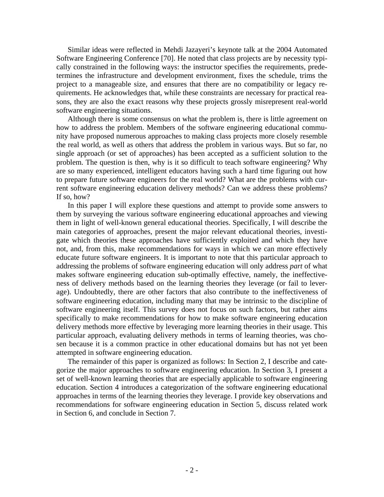Similar ideas were reflected in Mehdi Jazayeri's keynote talk at the 2004 Automated Software Engineering Conference [70]. He noted that class projects are by necessity typically constrained in the following ways: the instructor specifies the requirements, predetermines the infrastructure and development environment, fixes the schedule, trims the project to a manageable size, and ensures that there are no compatibility or legacy requirements. He acknowledges that, while these constraints are necessary for practical reasons, they are also the exact reasons why these projects grossly misrepresent real-world software engineering situations.

Although there is some consensus on what the problem is, there is little agreement on how to address the problem. Members of the software engineering educational community have proposed numerous approaches to making class projects more closely resemble the real world, as well as others that address the problem in various ways. But so far, no single approach (or set of approaches) has been accepted as a sufficient solution to the problem. The question is then, why is it so difficult to teach software engineering? Why are so many experienced, intelligent educators having such a hard time figuring out how to prepare future software engineers for the real world? What are the problems with current software engineering education delivery methods? Can we address these problems? If so, how?

In this paper I will explore these questions and attempt to provide some answers to them by surveying the various software engineering educational approaches and viewing them in light of well-known general educational theories. Specifically, I will describe the main categories of approaches, present the major relevant educational theories, investigate which theories these approaches have sufficiently exploited and which they have not, and, from this, make recommendations for ways in which we can more effectively educate future software engineers. It is important to note that this particular approach to addressing the problems of software engineering education will only address *part* of what makes software engineering education sub-optimally effective, namely, the ineffectiveness of delivery methods based on the learning theories they leverage (or fail to leverage). Undoubtedly, there are other factors that also contribute to the ineffectiveness of software engineering education, including many that may be intrinsic to the discipline of software engineering itself. This survey does not focus on such factors, but rather aims specifically to make recommendations for how to make software engineering education delivery methods more effective by leveraging more learning theories in their usage. This particular approach, evaluating delivery methods in terms of learning theories, was chosen because it is a common practice in other educational domains but has not yet been attempted in software engineering education.

The remainder of this paper is organized as follows: In Section 2, I describe and categorize the major approaches to software engineering education. In Section 3, I present a set of well-known learning theories that are especially applicable to software engineering education. Section 4 introduces a categorization of the software engineering educational approaches in terms of the learning theories they leverage. I provide key observations and recommendations for software engineering education in Section 5, discuss related work in Section 6, and conclude in Section 7.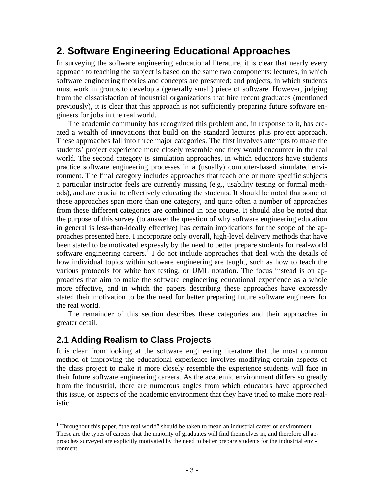## **2. Software Engineering Educational Approaches**

In surveying the software engineering educational literature, it is clear that nearly every approach to teaching the subject is based on the same two components: lectures, in which software engineering theories and concepts are presented; and projects, in which students must work in groups to develop a (generally small) piece of software. However, judging from the dissatisfaction of industrial organizations that hire recent graduates (mentioned previously), it is clear that this approach is not sufficiently preparing future software engineers for jobs in the real world.

The academic community has recognized this problem and, in response to it, has created a wealth of innovations that build on the standard lectures plus project approach. These approaches fall into three major categories. The first involves attempts to make the students' project experience more closely resemble one they would encounter in the real world. The second category is simulation approaches, in which educators have students practice software engineering processes in a (usually) computer-based simulated environment. The final category includes approaches that teach one or more specific subjects a particular instructor feels are currently missing (e.g., usability testing or formal methods), and are crucial to effectively educating the students. It should be noted that some of these approaches span more than one category, and quite often a number of approaches from these different categories are combined in one course. It should also be noted that the purpose of this survey (to answer the question of why software engineering education in general is less-than-ideally effective) has certain implications for the scope of the approaches presented here. I incorporate only overall, high-level delivery methods that have been stated to be motivated expressly by the need to better prepare students for real-world software engineering careers.<sup> $\int$ </sup> I do not include approaches that deal with the details of how individual topics within software engineering are taught, such as how to teach the various protocols for white box testing, or UML notation. The focus instead is on approaches that aim to make the software engineering educational experience as a whole more effective, and in which the papers describing these approaches have expressly stated their motivation to be the need for better preparing future software engineers for the real world.

The remainder of this section describes these categories and their approaches in greater detail.

#### **2.1 Adding Realism to Class Projects**

 $\overline{a}$ 

It is clear from looking at the software engineering literature that the most common method of improving the educational experience involves modifying certain aspects of the class project to make it more closely resemble the experience students will face in their future software engineering careers. As the academic environment differs so greatly from the industrial, there are numerous angles from which educators have approached this issue, or aspects of the academic environment that they have tried to make more realistic.

<span id="page-4-0"></span><sup>&</sup>lt;sup>1</sup> Throughout this paper, "the real world" should be taken to mean an industrial career or environment. These are the types of careers that the majority of graduates will find themselves in, and therefore all approaches surveyed are explicitly motivated by the need to better prepare students for the industrial environment.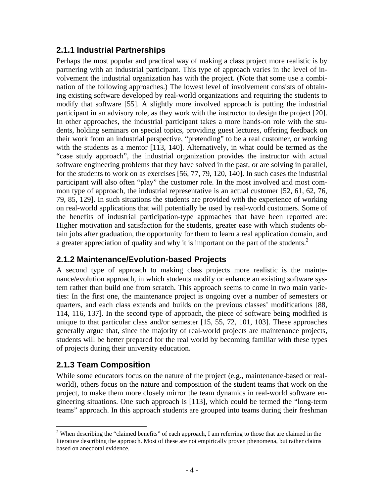#### **2.1.1 Industrial Partnerships**

Perhaps the most popular and practical way of making a class project more realistic is by partnering with an industrial participant. This type of approach varies in the level of involvement the industrial organization has with the project. (Note that some use a combination of the following approaches.) The lowest level of involvement consists of obtaining existing software developed by real-world organizations and requiring the students to modify that software [55]. A slightly more involved approach is putting the industrial participant in an advisory role, as they work with the instructor to design the project [20]. In other approaches, the industrial participant takes a more hands-on role with the students, holding seminars on special topics, providing guest lectures, offering feedback on their work from an industrial perspective, "pretending" to be a real customer, or working with the students as a mentor [113, 140]. Alternatively, in what could be termed as the "case study approach", the industrial organization provides the instructor with actual software engineering problems that they have solved in the past, or are solving in parallel, for the students to work on as exercises [56, 77, 79, 120, 140]. In such cases the industrial participant will also often "play" the customer role. In the most involved and most common type of approach, the industrial representative is an actual customer [52, 61, 62, 76, 79, 85, 129]. In such situations the students are provided with the experience of working on real-world applications that will potentially be used by real-world customers. Some of the benefits of industrial participation-type approaches that have been reported are: Higher motivation and satisfaction for the students, greater ease with which students obtain jobs after graduation, the opportunity for them to learn a real application domain, and a greater appreciation of quality and why it is important on the part of the students.<sup>[2](#page-5-0)</sup>

#### **2.1.2 Maintenance/Evolution-based Projects**

A second type of approach to making class projects more realistic is the maintenance/evolution approach, in which students modify or enhance an existing software system rather than build one from scratch. This approach seems to come in two main varieties: In the first one, the maintenance project is ongoing over a number of semesters or quarters, and each class extends and builds on the previous classes' modifications [88, 114, 116, 137]. In the second type of approach, the piece of software being modified is unique to that particular class and/or semester [15, 55, 72, 101, 103]. These approaches generally argue that, since the majority of real-world projects are maintenance projects, students will be better prepared for the real world by becoming familiar with these types of projects during their university education.

#### **2.1.3 Team Composition**

While some educators focus on the nature of the project (e.g., maintenance-based or realworld), others focus on the nature and composition of the student teams that work on the project, to make them more closely mirror the team dynamics in real-world software engineering situations. One such approach is [113], which could be termed the "long-term teams" approach. In this approach students are grouped into teams during their freshman

<span id="page-5-0"></span> $\overline{a}$ <sup>2</sup> When describing the "claimed benefits" of each approach, I am referring to those that are claimed in the literature describing the approach. Most of these are not empirically proven phenomena, but rather claims based on anecdotal evidence.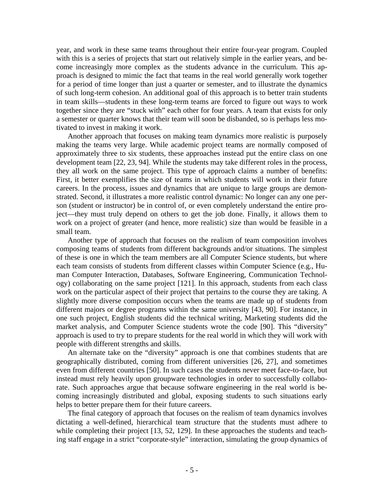year, and work in these same teams throughout their entire four-year program. Coupled with this is a series of projects that start out relatively simple in the earlier years, and become increasingly more complex as the students advance in the curriculum. This approach is designed to mimic the fact that teams in the real world generally work together for a period of time longer than just a quarter or semester, and to illustrate the dynamics of such long-term cohesion. An additional goal of this approach is to better train students in team skills—students in these long-term teams are forced to figure out ways to work together since they are "stuck with" each other for four years. A team that exists for only a semester or quarter knows that their team will soon be disbanded, so is perhaps less motivated to invest in making it work.

Another approach that focuses on making team dynamics more realistic is purposely making the teams very large. While academic project teams are normally composed of approximately three to six students, these approaches instead put the entire class on one development team [22, 23, 94]. While the students may take different roles in the process, they all work on the same project. This type of approach claims a number of benefits: First, it better exemplifies the size of teams in which students will work in their future careers. In the process, issues and dynamics that are unique to large groups are demonstrated. Second, it illustrates a more realistic control dynamic: No longer can any one person (student or instructor) be in control of, or even completely understand the entire project—they must truly depend on others to get the job done. Finally, it allows them to work on a project of greater (and hence, more realistic) size than would be feasible in a small team.

Another type of approach that focuses on the realism of team composition involves composing teams of students from different backgrounds and/or situations. The simplest of these is one in which the team members are all Computer Science students, but where each team consists of students from different classes within Computer Science (e.g., Human Computer Interaction, Databases, Software Engineering, Communication Technology) collaborating on the same project [121]. In this approach, students from each class work on the particular aspect of their project that pertains to the course they are taking. A slightly more diverse composition occurs when the teams are made up of students from different majors or degree programs within the same university [43, 90]. For instance, in one such project, English students did the technical writing, Marketing students did the market analysis, and Computer Science students wrote the code [90]. This "diversity" approach is used to try to prepare students for the real world in which they will work with people with different strengths and skills.

An alternate take on the "diversity" approach is one that combines students that are geographically distributed, coming from different universities [26, 27], and sometimes even from different countries [50]. In such cases the students never meet face-to-face, but instead must rely heavily upon groupware technologies in order to successfully collaborate. Such approaches argue that because software engineering in the real world is becoming increasingly distributed and global, exposing students to such situations early helps to better prepare them for their future careers.

The final category of approach that focuses on the realism of team dynamics involves dictating a well-defined, hierarchical team structure that the students must adhere to while completing their project [13, 52, 129]. In these approaches the students and teaching staff engage in a strict "corporate-style" interaction, simulating the group dynamics of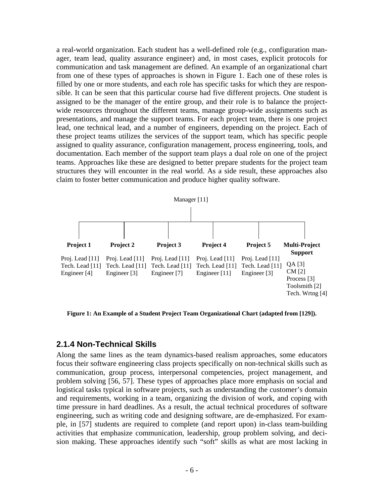a real-world organization. Each student has a well-defined role (e.g., configuration manager, team lead, quality assurance engineer) and, in most cases, explicit protocols for communication and task management are defined. An example of an organizational chart from one of these types of approaches is shown in Figure 1. Each one of these roles is filled by one or more students, and each role has specific tasks for which they are responsible. It can be seen that this particular course had five different projects. One student is assigned to be the manager of the entire group, and their role is to balance the projectwide resources throughout the different teams, manage group-wide assignments such as presentations, and manage the support teams. For each project team, there is one project lead, one technical lead, and a number of engineers, depending on the project. Each of these project teams utilizes the services of the support team, which has specific people assigned to quality assurance, configuration management, process engineering, tools, and documentation. Each member of the support team plays a dual role on one of the project teams. Approaches like these are designed to better prepare students for the project team structures they will encounter in the real world. As a side result, these approaches also claim to foster better communication and produce higher quality software.



**Figure 1: An Example of a Student Project Team Organizational Chart (adapted from [129]).** 

#### **2.1.4 Non-Technical Skills**

Along the same lines as the team dynamics-based realism approaches, some educators focus their software engineering class projects specifically on non-technical skills such as communication, group process, interpersonal competencies, project management, and problem solving [56, 57]. These types of approaches place more emphasis on social and logistical tasks typical in software projects, such as understanding the customer's domain and requirements, working in a team, organizing the division of work, and coping with time pressure in hard deadlines. As a result, the actual technical procedures of software engineering, such as writing code and designing software, are de-emphasized. For example, in [57] students are required to complete (and report upon) in-class team-building activities that emphasize communication, leadership, group problem solving, and decision making. These approaches identify such "soft" skills as what are most lacking in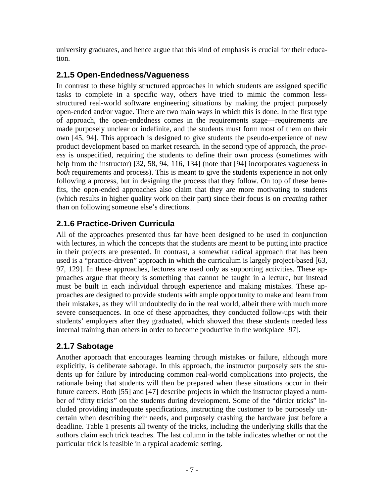university graduates, and hence argue that this kind of emphasis is crucial for their education.

#### **2.1.5 Open-Endedness/Vagueness**

In contrast to these highly structured approaches in which students are assigned specific tasks to complete in a specific way, others have tried to mimic the common lessstructured real-world software engineering situations by making the project purposely open-ended and/or vague. There are two main ways in which this is done. In the first type of approach, the open-endedness comes in the requirements stage—requirements are made purposely unclear or indefinite, and the students must form most of them on their own [45, 94]. This approach is designed to give students the pseudo-experience of new product development based on market research. In the second type of approach, the *process* is unspecified, requiring the students to define their own process (sometimes with help from the instructor) [32, 58, 94, 116, 134] (note that [94] incorporates vagueness in *both* requirements and process). This is meant to give the students experience in not only following a process, but in designing the process that they follow. On top of these benefits, the open-ended approaches also claim that they are more motivating to students (which results in higher quality work on their part) since their focus is on *creating* rather than on following someone else's directions.

#### **2.1.6 Practice-Driven Curricula**

All of the approaches presented thus far have been designed to be used in conjunction with lectures, in which the concepts that the students are meant to be putting into practice in their projects are presented. In contrast, a somewhat radical approach that has been used is a "practice-driven" approach in which the curriculum is largely project-based [63, 97, 129]. In these approaches, lectures are used only as supporting activities. These approaches argue that theory is something that cannot be taught in a lecture, but instead must be built in each individual through experience and making mistakes. These approaches are designed to provide students with ample opportunity to make and learn from their mistakes, as they will undoubtedly do in the real world, albeit there with much more severe consequences. In one of these approaches, they conducted follow-ups with their students' employers after they graduated, which showed that these students needed less internal training than others in order to become productive in the workplace [97].

### **2.1.7 Sabotage**

Another approach that encourages learning through mistakes or failure, although more explicitly, is deliberate sabotage. In this approach, the instructor purposely sets the students up for failure by introducing common real-world complications into projects, the rationale being that students will then be prepared when these situations occur in their future careers. Both [55] and [47] describe projects in which the instructor played a number of "dirty tricks" on the students during development. Some of the "dirtier tricks" included providing inadequate specifications, instructing the customer to be purposely uncertain when describing their needs, and purposely crashing the hardware just before a deadline. Table 1 presents all twenty of the tricks, including the underlying skills that the authors claim each trick teaches. The last column in the table indicates whether or not the particular trick is feasible in a typical academic setting.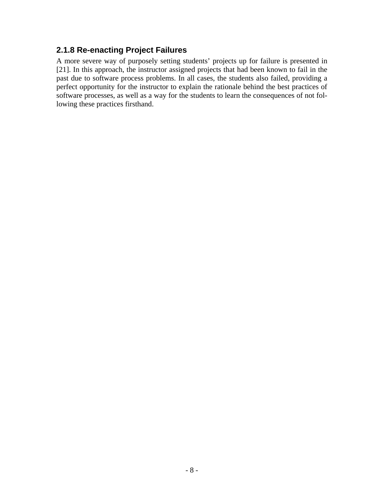#### **2.1.8 Re-enacting Project Failures**

A more severe way of purposely setting students' projects up for failure is presented in [21]. In this approach, the instructor assigned projects that had been known to fail in the past due to software process problems. In all cases, the students also failed, providing a perfect opportunity for the instructor to explain the rationale behind the best practices of software processes, as well as a way for the students to learn the consequences of not following these practices firsthand.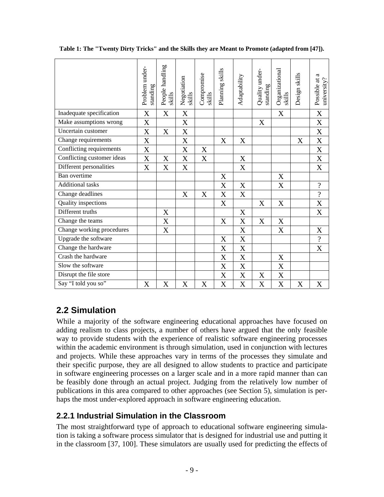|                            | Problem under-<br>standing | People handling<br>skills | Negotiation<br>skills     | Compromise<br>skills | Planning skills           | Adaptability              | Quality under-<br>standing | Organizational<br>skills | Design skills    | Possible at a<br>university? |
|----------------------------|----------------------------|---------------------------|---------------------------|----------------------|---------------------------|---------------------------|----------------------------|--------------------------|------------------|------------------------------|
| Inadequate specification   | X                          | $\boldsymbol{\mathrm{X}}$ | X                         |                      |                           |                           |                            | X                        |                  | X                            |
| Make assumptions wrong     | X                          |                           | X                         |                      |                           |                           | X                          |                          |                  | $\overline{X}$               |
| Uncertain customer         | X                          | $\mathbf X$               | $\boldsymbol{\mathrm{X}}$ |                      |                           |                           |                            |                          |                  | $\boldsymbol{\mathrm{X}}$    |
| Change requirements        | X                          |                           | $\mathbf X$               |                      | X                         | X                         |                            |                          | X                | $\mathbf X$                  |
| Conflicting requirements   | X                          |                           | $\boldsymbol{X}$          | X                    |                           |                           |                            |                          |                  | $\mathbf X$                  |
| Conflicting customer ideas | X                          | X                         | $\boldsymbol{X}$          | X                    |                           | X                         |                            |                          |                  | $\boldsymbol{\mathrm{X}}$    |
| Different personalities    | X                          | X                         | X                         |                      |                           | X                         |                            |                          |                  | X                            |
| Ban overtime               |                            |                           |                           |                      | $\mathbf X$               |                           |                            | X                        |                  |                              |
| <b>Additional tasks</b>    |                            |                           |                           |                      | X                         | X                         |                            | X                        |                  | $\overline{\mathcal{L}}$     |
| Change deadlines           |                            |                           | $\mathbf X$               | $\mathbf X$          | $\boldsymbol{\mathrm{X}}$ | $\mathbf X$               |                            |                          |                  | $\overline{?}$               |
| Quality inspections        |                            |                           |                           |                      | $\mathbf X$               |                           | X                          | X                        |                  | X                            |
| Different truths           |                            | X                         |                           |                      |                           | X                         |                            |                          |                  | $\mathbf X$                  |
| Change the teams           |                            | X                         |                           |                      | $\mathbf X$               | $\boldsymbol{\mathrm{X}}$ | X                          | $\mathbf X$              |                  |                              |
| Change working procedures  |                            | X                         |                           |                      |                           | $\boldsymbol{X}$          |                            | X                        |                  | $\boldsymbol{\mathrm{X}}$    |
| Upgrade the software       |                            |                           |                           |                      | $\boldsymbol{\mathrm{X}}$ | $\mathbf X$               |                            |                          |                  | $\overline{\mathcal{L}}$     |
| Change the hardware        |                            |                           |                           |                      | $\boldsymbol{\mathrm{X}}$ | $\mathbf X$               |                            |                          |                  | X                            |
| Crash the hardware         |                            |                           |                           |                      | $\boldsymbol{\mathrm{X}}$ | $\mathbf X$               |                            | X                        |                  |                              |
| Slow the software          |                            |                           |                           |                      | X                         | X                         |                            | X                        |                  |                              |
| Disrupt the file store     |                            |                           |                           |                      | X                         | X                         | X                          | $\mathbf X$              |                  |                              |
| Say "I told you so"        | X                          | $\mathbf X$               | $\mathbf X$               | X                    | $\mathbf X$               | $\mathbf X$               | X                          | $\mathbf X$              | $\boldsymbol{X}$ | $\mathbf X$                  |

**Table 1: The "Twenty Dirty Tricks" and the Skills they are Meant to Promote (adapted from [47]).** 

### **2.2 Simulation**

While a majority of the software engineering educational approaches have focused on adding realism to class projects, a number of others have argued that the only feasible way to provide students with the experience of realistic software engineering processes within the academic environment is through simulation, used in conjunction with lectures and projects. While these approaches vary in terms of the processes they simulate and their specific purpose, they are all designed to allow students to practice and participate in software engineering processes on a larger scale and in a more rapid manner than can be feasibly done through an actual project. Judging from the relatively low number of publications in this area compared to other approaches (see Section 5), simulation is perhaps the most under-explored approach in software engineering education.

#### **2.2.1 Industrial Simulation in the Classroom**

The most straightforward type of approach to educational software engineering simulation is taking a software process simulator that is designed for industrial use and putting it in the classroom [37, 100]. These simulators are usually used for predicting the effects of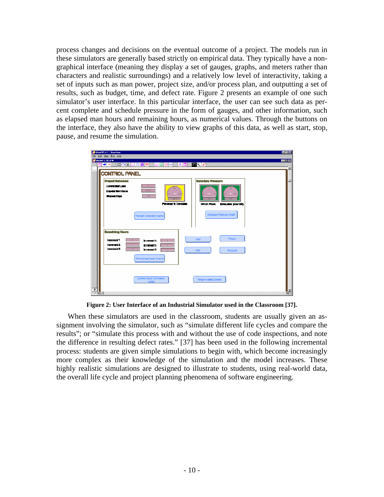process changes and decisions on the eventual outcome of a project. The models run in these simulators are generally based strictly on empirical data. They typically have a nongraphical interface (meaning they display a set of gauges, graphs, and meters rather than characters and realistic surroundings) and a relatively low level of interactivity, taking a set of inputs such as man power, project size, and/or process plan, and outputting a set of results, such as budget, time, and defect rate. Figure 2 presents an example of one such simulator's user interface. In this particular interface, the user can see such data as percent complete and schedule pressure in the form of gauges, and other information, such as elapsed man hours and remaining hours, as numerical values. Through the buttons on the interface, they also have the ability to view graphs of this data, as well as start, stop, pause, and resume the simulation.



**Figure 2: User Interface of an Industrial Simulator used in the Classroom [37].** 

When these simulators are used in the classroom, students are usually given an assignment involving the simulator, such as "simulate different life cycles and compare the results"; or "simulate this process with and without the use of code inspections, and note the difference in resulting defect rates." [37] has been used in the following incremental process: students are given simple simulations to begin with, which become increasingly more complex as their knowledge of the simulation and the model increases. These highly realistic simulations are designed to illustrate to students, using real-world data, the overall life cycle and project planning phenomena of software engineering.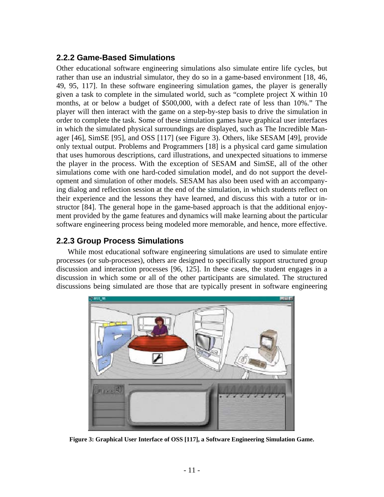#### **2.2.2 Game-Based Simulations**

Other educational software engineering simulations also simulate entire life cycles, but rather than use an industrial simulator, they do so in a game-based environment [18, 46, 49, 95, 117]. In these software engineering simulation games, the player is generally given a task to complete in the simulated world, such as "complete project X within 10 months, at or below a budget of \$500,000, with a defect rate of less than 10%." The player will then interact with the game on a step-by-step basis to drive the simulation in order to complete the task. Some of these simulation games have graphical user interfaces in which the simulated physical surroundings are displayed, such as The Incredible Manager [46], SimSE [95], and OSS [117] (see Figure 3). Others, like SESAM [49], provide only textual output. Problems and Programmers [18] is a physical card game simulation that uses humorous descriptions, card illustrations, and unexpected situations to immerse the player in the process. With the exception of SESAM and SimSE, all of the other simulations come with one hard-coded simulation model, and do not support the development and simulation of other models. SESAM has also been used with an accompanying dialog and reflection session at the end of the simulation, in which students reflect on their experience and the lessons they have learned, and discuss this with a tutor or instructor [84]. The general hope in the game-based approach is that the additional enjoyment provided by the game features and dynamics will make learning about the particular software engineering process being modeled more memorable, and hence, more effective.

#### **2.2.3 Group Process Simulations**

While most educational software engineering simulations are used to simulate entire processes (or sub-processes), others are designed to specifically support structured group discussion and interaction processes [96, 125]. In these cases, the student engages in a discussion in which some or all of the other participants are simulated. The structured discussions being simulated are those that are typically present in software engineering



**Figure 3: Graphical User Interface of OSS [117], a Software Engineering Simulation Game.**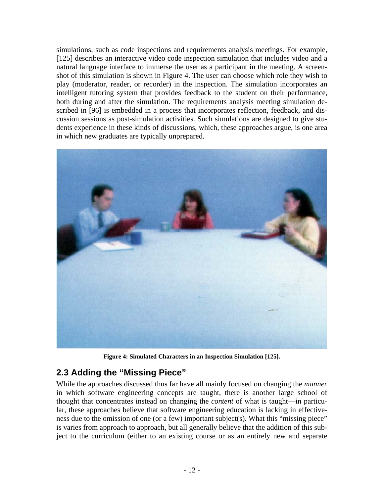simulations, such as code inspections and requirements analysis meetings. For example, [125] describes an interactive video code inspection simulation that includes video and a natural language interface to immerse the user as a participant in the meeting. A screenshot of this simulation is shown in Figure 4. The user can choose which role they wish to play (moderator, reader, or recorder) in the inspection. The simulation incorporates an intelligent tutoring system that provides feedback to the student on their performance, both during and after the simulation. The requirements analysis meeting simulation described in [96] is embedded in a process that incorporates reflection, feedback, and discussion sessions as post-simulation activities. Such simulations are designed to give students experience in these kinds of discussions, which, these approaches argue, is one area in which new graduates are typically unprepared.



**Figure 4: Simulated Characters in an Inspection Simulation [125].** 

#### **2.3 Adding the "Missing Piece"**

While the approaches discussed thus far have all mainly focused on changing the *manner* in which software engineering concepts are taught, there is another large school of thought that concentrates instead on changing the *content* of what is taught—in particular, these approaches believe that software engineering education is lacking in effectiveness due to the omission of one (or a few) important subject(s). What this "missing piece" is varies from approach to approach, but all generally believe that the addition of this subject to the curriculum (either to an existing course or as an entirely new and separate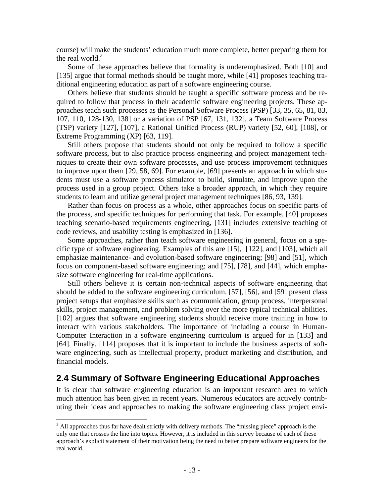course) will make the students' education much more complete, better preparing them for the real world.<sup>[3](#page-14-0)</sup>

Some of these approaches believe that formality is underemphasized. Both [10] and [135] argue that formal methods should be taught more, while [41] proposes teaching traditional engineering education as part of a software engineering course.

Others believe that students should be taught a specific software process and be required to follow that process in their academic software engineering projects. These approaches teach such processes as the Personal Software Process (PSP) [33, 35, 65, 81, 83, 107, 110, 128-130, 138] or a variation of PSP [67, 131, 132], a Team Software Process (TSP) variety [127], [107], a Rational Unified Process (RUP) variety [52, 60], [108], or Extreme Programming (XP) [63, 119].

Still others propose that students should not only be required to follow a specific software process, but to also practice process engineering and project management techniques to create their own software processes, and use process improvement techniques to improve upon them [29, 58, 69]. For example, [69] presents an approach in which students must use a software process simulator to build, simulate, and improve upon the process used in a group project. Others take a broader approach, in which they require students to learn and utilize general project management techniques [86, 93, 139].

Rather than focus on process as a whole, other approaches focus on specific parts of the process, and specific techniques for performing that task. For example, [40] proposes teaching scenario-based requirements engineering, [131] includes extensive teaching of code reviews, and usability testing is emphasized in [136].

Some approaches, rather than teach software engineering in general, focus on a specific type of software engineering. Examples of this are [15], [122], and [103], which all emphasize maintenance- and evolution-based software engineering; [98] and [51], which focus on component-based software engineering; and [75], [78], and [44], which emphasize software engineering for real-time applications.

Still others believe it is certain non-technical aspects of software engineering that should be added to the software engineering curriculum. [57], [56], and [59] present class project setups that emphasize skills such as communication, group process, interpersonal skills, project management, and problem solving over the more typical technical abilities. [102] argues that software engineering students should receive more training in how to interact with various stakeholders. The importance of including a course in Human-Computer Interaction in a software engineering curriculum is argued for in [133] and [64]. Finally, [114] proposes that it is important to include the business aspects of software engineering, such as intellectual property, product marketing and distribution, and financial models.

#### **2.4 Summary of Software Engineering Educational Approaches**

It is clear that software engineering education is an important research area to which much attention has been given in recent years. Numerous educators are actively contributing their ideas and approaches to making the software engineering class project envi-

<u>.</u>

<span id="page-14-0"></span> $3$  All approaches thus far have dealt strictly with delivery methods. The "missing piece" approach is the only one that crosses the line into topics. However, it is included in this survey because of each of these approach's explicit statement of their motivation being the need to better prepare software engineers for the real world.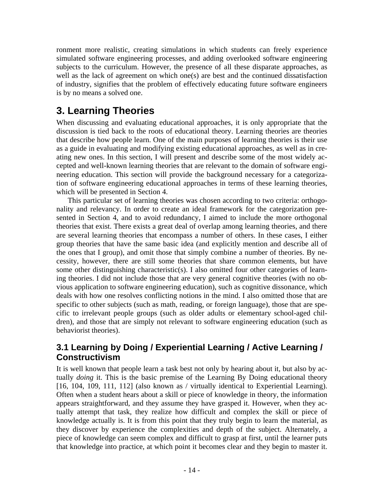ronment more realistic, creating simulations in which students can freely experience simulated software engineering processes, and adding overlooked software engineering subjects to the curriculum. However, the presence of all these disparate approaches, as well as the lack of agreement on which one(s) are best and the continued dissatisfaction of industry, signifies that the problem of effectively educating future software engineers is by no means a solved one.

# **3. Learning Theories**

When discussing and evaluating educational approaches, it is only appropriate that the discussion is tied back to the roots of educational theory. Learning theories are theories that describe how people learn. One of the main purposes of learning theories is their use as a guide in evaluating and modifying existing educational approaches, as well as in creating new ones. In this section, I will present and describe some of the most widely accepted and well-known learning theories that are relevant to the domain of software engineering education. This section will provide the background necessary for a categorization of software engineering educational approaches in terms of these learning theories, which will be presented in Section 4.

This particular set of learning theories was chosen according to two criteria: orthogonality and relevancy. In order to create an ideal framework for the categorization presented in Section 4, and to avoid redundancy, I aimed to include the more orthogonal theories that exist. There exists a great deal of overlap among learning theories, and there are several learning theories that encompass a number of others. In these cases, I either group theories that have the same basic idea (and explicitly mention and describe all of the ones that I group), and omit those that simply combine a number of theories. By necessity, however, there are still some theories that share common elements, but have some other distinguishing characteristic(s). I also omitted four other categories of learning theories. I did not include those that are very general cognitive theories (with no obvious application to software engineering education), such as cognitive dissonance, which deals with how one resolves conflicting notions in the mind. I also omitted those that are specific to other subjects (such as math, reading, or foreign language), those that are specific to irrelevant people groups (such as older adults or elementary school-aged children), and those that are simply not relevant to software engineering education (such as behaviorist theories).

### **3.1 Learning by Doing / Experiential Learning / Active Learning / Constructivism**

It is well known that people learn a task best not only by hearing about it, but also by actually *doing* it. This is the basic premise of the Learning By Doing educational theory [16, 104, 109, 111, 112] (also known as / virtually identical to Experiential Learning). Often when a student hears about a skill or piece of knowledge in theory, the information appears straightforward, and they assume they have grasped it. However, when they actually attempt that task, they realize how difficult and complex the skill or piece of knowledge actually is. It is from this point that they truly begin to learn the material, as they discover by experience the complexities and depth of the subject. Alternately, a piece of knowledge can seem complex and difficult to grasp at first, until the learner puts that knowledge into practice, at which point it becomes clear and they begin to master it.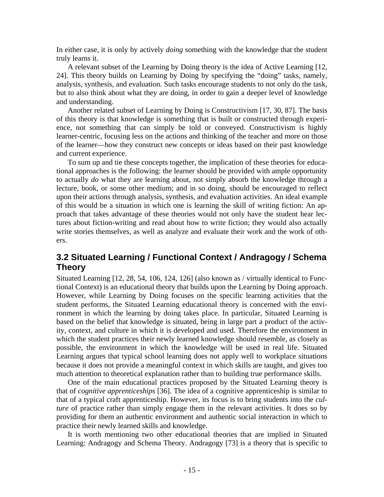In either case, it is only by actively *doing* something with the knowledge that the student truly learns it.

A relevant subset of the Learning by Doing theory is the idea of Active Learning [12, 24]. This theory builds on Learning by Doing by specifying the "doing" tasks, namely, analysis, synthesis, and evaluation. Such tasks encourage students to not only do the task, but to also think about what they are doing, in order to gain a deeper level of knowledge and understanding.

Another related subset of Learning by Doing is Constructivism [17, 30, 87]. The basis of this theory is that knowledge is something that is built or constructed through experience, not something that can simply be told or conveyed. Constructivism is highly learner-centric, focusing less on the actions and thinking of the teacher and more on those of the learner—how they construct new concepts or ideas based on their past knowledge and current experience.

To sum up and tie these concepts together, the implication of these theories for educational approaches is the following: the learner should be provided with ample opportunity to actually *do* what they are learning about, not simply absorb the knowledge through a lecture, book, or some other medium; and in so doing, should be encouraged to reflect upon their actions through analysis, synthesis, and evaluation activities. An ideal example of this would be a situation in which one is learning the skill of writing fiction: An approach that takes advantage of these theories would not only have the student hear lectures about fiction-writing and read about how to write fiction; they would also actually write stories themselves, as well as analyze and evaluate their work and the work of others.

#### **3.2 Situated Learning / Functional Context / Andragogy / Schema Theory**

Situated Learning [12, 28, 54, 106, 124, 126] (also known as / virtually identical to Functional Context) is an educational theory that builds upon the Learning by Doing approach. However, while Learning by Doing focuses on the specific learning activities that the student performs, the Situated Learning educational theory is concerned with the environment in which the learning by doing takes place. In particular, Situated Learning is based on the belief that knowledge is situated, being in large part a product of the activity, context, and culture in which it is developed and used. Therefore the environment in which the student practices their newly learned knowledge should resemble, as closely as possible, the environment in which the knowledge will be used in real life. Situated Learning argues that typical school learning does not apply well to workplace situations because it does not provide a meaningful context in which skills are taught, and gives too much attention to theoretical explanation rather than to building true performance skills.

One of the main educational practices proposed by the Situated Learning theory is that of *cognitive apprenticeships* [36]. The idea of a cognitive apprenticeship is similar to that of a typical craft apprenticeship. However, its focus is to bring students into the *culture* of practice rather than simply engage them in the relevant activities. It does so by providing for them an authentic environment and authentic social interaction in which to practice their newly learned skills and knowledge.

It is worth mentioning two other educational theories that are implied in Situated Learning: Andragogy and Schema Theory. Andragogy [73] is a theory that is specific to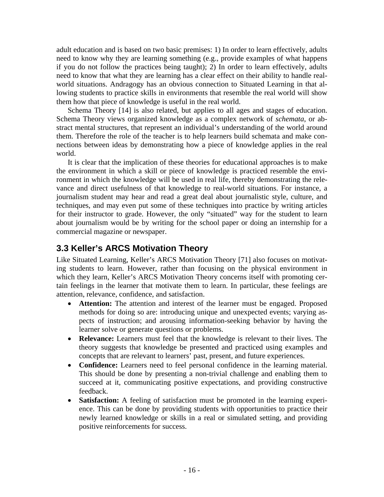adult education and is based on two basic premises: 1) In order to learn effectively, adults need to know why they are learning something (e.g., provide examples of what happens if you do not follow the practices being taught); 2) In order to learn effectively, adults need to know that what they are learning has a clear effect on their ability to handle realworld situations. Andragogy has an obvious connection to Situated Learning in that allowing students to practice skills in environments that resemble the real world will show them how that piece of knowledge is useful in the real world.

Schema Theory [14] is also related, but applies to all ages and stages of education. Schema Theory views organized knowledge as a complex network of *schemata*, or abstract mental structures, that represent an individual's understanding of the world around them. Therefore the role of the teacher is to help learners build schemata and make connections between ideas by demonstrating how a piece of knowledge applies in the real world.

It is clear that the implication of these theories for educational approaches is to make the environment in which a skill or piece of knowledge is practiced resemble the environment in which the knowledge will be used in real life, thereby demonstrating the relevance and direct usefulness of that knowledge to real-world situations. For instance, a journalism student may hear and read a great deal about journalistic style, culture, and techniques, and may even put some of these techniques into practice by writing articles for their instructor to grade. However, the only "situated" way for the student to learn about journalism would be by writing for the school paper or doing an internship for a commercial magazine or newspaper.

### **3.3 Keller's ARCS Motivation Theory**

Like Situated Learning, Keller's ARCS Motivation Theory [71] also focuses on motivating students to learn. However, rather than focusing on the physical environment in which they learn, Keller's ARCS Motivation Theory concerns itself with promoting certain feelings in the learner that motivate them to learn. In particular, these feelings are attention, relevance, confidence, and satisfaction.

- **Attention:** The attention and interest of the learner must be engaged. Proposed methods for doing so are: introducing unique and unexpected events; varying aspects of instruction; and arousing information-seeking behavior by having the learner solve or generate questions or problems.
- **Relevance:** Learners must feel that the knowledge is relevant to their lives. The theory suggests that knowledge be presented and practiced using examples and concepts that are relevant to learners' past, present, and future experiences.
- **Confidence:** Learners need to feel personal confidence in the learning material. This should be done by presenting a non-trivial challenge and enabling them to succeed at it, communicating positive expectations, and providing constructive feedback.
- **Satisfaction:** A feeling of satisfaction must be promoted in the learning experience. This can be done by providing students with opportunities to practice their newly learned knowledge or skills in a real or simulated setting, and providing positive reinforcements for success.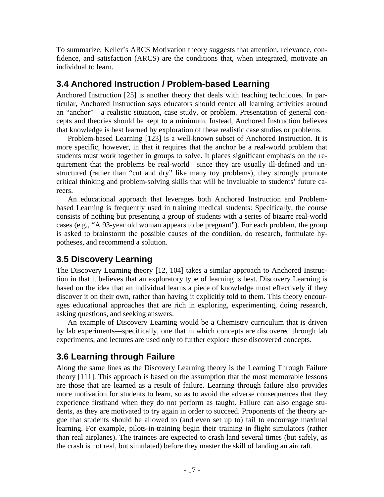To summarize, Keller's ARCS Motivation theory suggests that attention, relevance, confidence, and satisfaction (ARCS) are the conditions that, when integrated, motivate an individual to learn.

#### **3.4 Anchored Instruction / Problem-based Learning**

Anchored Instruction [25] is another theory that deals with teaching techniques. In particular, Anchored Instruction says educators should center all learning activities around an "anchor"—a realistic situation, case study, or problem. Presentation of general concepts and theories should be kept to a minimum. Instead, Anchored Instruction believes that knowledge is best learned by exploration of these realistic case studies or problems.

Problem-based Learning [123] is a well-known subset of Anchored Instruction. It is more specific, however, in that it requires that the anchor be a real-world problem that students must work together in groups to solve. It places significant emphasis on the requirement that the problems be real-world—since they are usually ill-defined and unstructured (rather than "cut and dry" like many toy problems), they strongly promote critical thinking and problem-solving skills that will be invaluable to students' future careers.

An educational approach that leverages both Anchored Instruction and Problembased Learning is frequently used in training medical students: Specifically, the course consists of nothing but presenting a group of students with a series of bizarre real-world cases (e.g., "A 93-year old woman appears to be pregnant"). For each problem, the group is asked to brainstorm the possible causes of the condition, do research, formulate hypotheses, and recommend a solution.

#### **3.5 Discovery Learning**

The Discovery Learning theory [12, 104] takes a similar approach to Anchored Instruction in that it believes that an exploratory type of learning is best. Discovery Learning is based on the idea that an individual learns a piece of knowledge most effectively if they discover it on their own, rather than having it explicitly told to them. This theory encourages educational approaches that are rich in exploring, experimenting, doing research, asking questions, and seeking answers.

An example of Discovery Learning would be a Chemistry curriculum that is driven by lab experiments—specifically, one that in which concepts are discovered through lab experiments, and lectures are used only to further explore these discovered concepts.

### **3.6 Learning through Failure**

Along the same lines as the Discovery Learning theory is the Learning Through Failure theory [111]. This approach is based on the assumption that the most memorable lessons are those that are learned as a result of failure. Learning through failure also provides more motivation for students to learn, so as to avoid the adverse consequences that they experience firsthand when they do not perform as taught. Failure can also engage students, as they are motivated to try again in order to succeed. Proponents of the theory argue that students should be allowed to (and even set up to) fail to encourage maximal learning. For example, pilots-in-training begin their training in flight simulators (rather than real airplanes). The trainees are expected to crash land several times (but safely, as the crash is not real, but simulated) before they master the skill of landing an aircraft.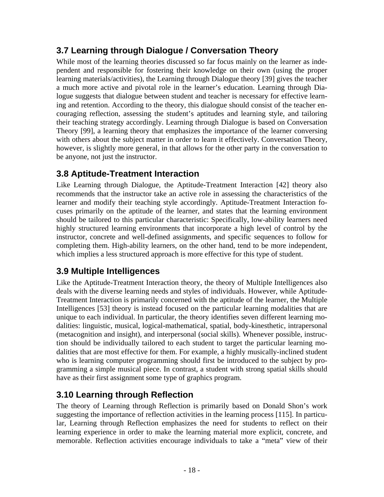### **3.7 Learning through Dialogue / Conversation Theory**

While most of the learning theories discussed so far focus mainly on the learner as independent and responsible for fostering their knowledge on their own (using the proper learning materials/activities), the Learning through Dialogue theory [39] gives the teacher a much more active and pivotal role in the learner's education. Learning through Dialogue suggests that dialogue between student and teacher is necessary for effective learning and retention. According to the theory, this dialogue should consist of the teacher encouraging reflection, assessing the student's aptitudes and learning style, and tailoring their teaching strategy accordingly. Learning through Dialogue is based on Conversation Theory [99], a learning theory that emphasizes the importance of the learner conversing with others about the subject matter in order to learn it effectively. Conversation Theory, however, is slightly more general, in that allows for the other party in the conversation to be anyone, not just the instructor.

### **3.8 Aptitude-Treatment Interaction**

Like Learning through Dialogue, the Aptitude-Treatment Interaction [42] theory also recommends that the instructor take an active role in assessing the characteristics of the learner and modify their teaching style accordingly. Aptitude-Treatment Interaction focuses primarily on the aptitude of the learner, and states that the learning environment should be tailored to this particular characteristic: Specifically, low-ability learners need highly structured learning environments that incorporate a high level of control by the instructor, concrete and well-defined assignments, and specific sequences to follow for completing them. High-ability learners, on the other hand, tend to be more independent, which implies a less structured approach is more effective for this type of student.

### **3.9 Multiple Intelligences**

Like the Aptitude-Treatment Interaction theory, the theory of Multiple Intelligences also deals with the diverse learning needs and styles of individuals. However, while Aptitude-Treatment Interaction is primarily concerned with the aptitude of the learner, the Multiple Intelligences [53] theory is instead focused on the particular learning modalities that are unique to each individual. In particular, the theory identifies seven different learning modalities: linguistic, musical, logical-mathematical, spatial, body-kinesthetic, intrapersonal (metacognition and insight), and interpersonal (social skills). Whenever possible, instruction should be individually tailored to each student to target the particular learning modalities that are most effective for them. For example, a highly musically-inclined student who is learning computer programming should first be introduced to the subject by programming a simple musical piece. In contrast, a student with strong spatial skills should have as their first assignment some type of graphics program.

### **3.10 Learning through Reflection**

The theory of Learning through Reflection is primarily based on Donald Shon's work suggesting the importance of reflection activities in the learning process [115]. In particular, Learning through Reflection emphasizes the need for students to reflect on their learning experience in order to make the learning material more explicit, concrete, and memorable. Reflection activities encourage individuals to take a "meta" view of their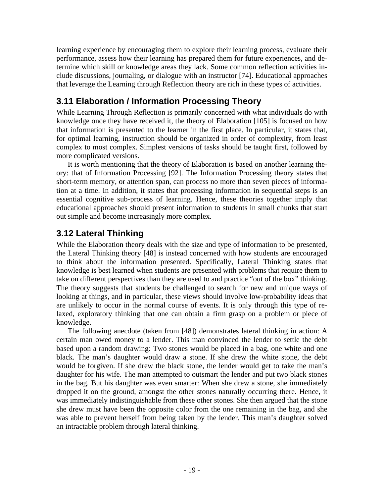learning experience by encouraging them to explore their learning process, evaluate their performance, assess how their learning has prepared them for future experiences, and determine which skill or knowledge areas they lack. Some common reflection activities include discussions, journaling, or dialogue with an instructor [74]. Educational approaches that leverage the Learning through Reflection theory are rich in these types of activities.

### **3.11 Elaboration / Information Processing Theory**

While Learning Through Reflection is primarily concerned with what individuals do with knowledge once they have received it, the theory of Elaboration [105] is focused on how that information is presented to the learner in the first place. In particular, it states that, for optimal learning, instruction should be organized in order of complexity, from least complex to most complex. Simplest versions of tasks should be taught first, followed by more complicated versions.

It is worth mentioning that the theory of Elaboration is based on another learning theory: that of Information Processing [92]. The Information Processing theory states that short-term memory, or attention span, can process no more than seven pieces of information at a time. In addition, it states that processing information in sequential steps is an essential cognitive sub-process of learning. Hence, these theories together imply that educational approaches should present information to students in small chunks that start out simple and become increasingly more complex.

### **3.12 Lateral Thinking**

While the Elaboration theory deals with the size and type of information to be presented, the Lateral Thinking theory [48] is instead concerned with how students are encouraged to think about the information presented. Specifically, Lateral Thinking states that knowledge is best learned when students are presented with problems that require them to take on different perspectives than they are used to and practice "out of the box" thinking. The theory suggests that students be challenged to search for new and unique ways of looking at things, and in particular, these views should involve low-probability ideas that are unlikely to occur in the normal course of events. It is only through this type of relaxed, exploratory thinking that one can obtain a firm grasp on a problem or piece of knowledge.

The following anecdote (taken from [48]) demonstrates lateral thinking in action: A certain man owed money to a lender. This man convinced the lender to settle the debt based upon a random drawing: Two stones would be placed in a bag, one white and one black. The man's daughter would draw a stone. If she drew the white stone, the debt would be forgiven. If she drew the black stone, the lender would get to take the man's daughter for his wife. The man attempted to outsmart the lender and put two black stones in the bag. But his daughter was even smarter: When she drew a stone, she immediately dropped it on the ground, amongst the other stones naturally occurring there. Hence, it was immediately indistinguishable from these other stones. She then argued that the stone she drew must have been the opposite color from the one remaining in the bag, and she was able to prevent herself from being taken by the lender. This man's daughter solved an intractable problem through lateral thinking.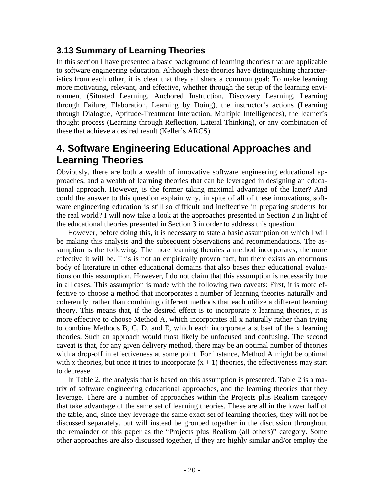#### **3.13 Summary of Learning Theories**

In this section I have presented a basic background of learning theories that are applicable to software engineering education. Although these theories have distinguishing characteristics from each other, it is clear that they all share a common goal: To make learning more motivating, relevant, and effective, whether through the setup of the learning environment (Situated Learning, Anchored Instruction, Discovery Learning, Learning through Failure, Elaboration, Learning by Doing), the instructor's actions (Learning through Dialogue, Aptitude-Treatment Interaction, Multiple Intelligences), the learner's thought process (Learning through Reflection, Lateral Thinking), or any combination of these that achieve a desired result (Keller's ARCS).

## **4. Software Engineering Educational Approaches and Learning Theories**

Obviously, there are both a wealth of innovative software engineering educational approaches, and a wealth of learning theories that can be leveraged in designing an educational approach. However, is the former taking maximal advantage of the latter? And could the answer to this question explain why, in spite of all of these innovations, software engineering education is still so difficult and ineffective in preparing students for the real world? I will now take a look at the approaches presented in Section 2 in light of the educational theories presented in Section 3 in order to address this question.

However, before doing this, it is necessary to state a basic assumption on which I will be making this analysis and the subsequent observations and recommendations. The assumption is the following: The more learning theories a method incorporates, the more effective it will be. This is not an empirically proven fact, but there exists an enormous body of literature in other educational domains that also bases their educational evaluations on this assumption. However, I do not claim that this assumption is necessarily true in all cases. This assumption is made with the following two caveats: First, it is more effective to choose a method that incorporates a number of learning theories naturally and coherently, rather than combining different methods that each utilize a different learning theory. This means that, if the desired effect is to incorporate x learning theories, it is more effective to choose Method A, which incorporates all x naturally rather than trying to combine Methods B, C, D, and E, which each incorporate a subset of the x learning theories. Such an approach would most likely be unfocused and confusing. The second caveat is that, for any given delivery method, there may be an optimal number of theories with a drop-off in effectiveness at some point. For instance, Method A might be optimal with x theories, but once it tries to incorporate  $(x + 1)$  theories, the effectiveness may start to decrease.

In Table 2, the analysis that is based on this assumption is presented. Table 2 is a matrix of software engineering educational approaches, and the learning theories that they leverage. There are a number of approaches within the Projects plus Realism category that take advantage of the same set of learning theories. These are all in the lower half of the table, and, since they leverage the same exact set of learning theories, they will not be discussed separately, but will instead be grouped together in the discussion throughout the remainder of this paper as the "Projects plus Realism (all others)" category. Some other approaches are also discussed together, if they are highly similar and/or employ the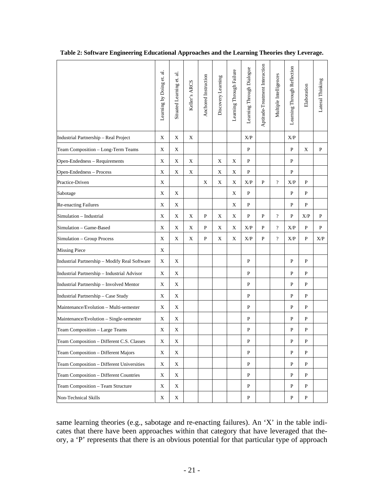|                                               | ಸ<br>Learning by Doing et. | ನ<br>Situated Learning et. | Keller's ARCS | Anchored Instruction | Discovery Learning | Learning Through Failure | Learning Through Dialogue | Aptitude-Treatment Interaction | Multiple Intelligences   | Learning Through Reflection | Elaboration | Lateral Thinking |
|-----------------------------------------------|----------------------------|----------------------------|---------------|----------------------|--------------------|--------------------------|---------------------------|--------------------------------|--------------------------|-----------------------------|-------------|------------------|
| Industrial Partnership - Real Project         | X                          | X                          | X             |                      |                    |                          | X/P                       |                                |                          | X/P                         |             |                  |
| Team Composition - Long-Term Teams            | X                          | X                          |               |                      |                    |                          | P                         |                                |                          | P                           | X           | P                |
| Open-Endedness - Requirements                 | X                          | Χ                          | Χ             |                      | Χ                  | X                        | P                         |                                |                          | P                           |             |                  |
| Open-Endedness - Process                      | X                          | Χ                          | X             |                      | X                  | Χ                        | P                         |                                |                          | P                           |             |                  |
| Practice-Driven                               | X                          |                            |               | X                    | Χ                  | Χ                        | X/P                       | P                              | $\overline{\mathcal{L}}$ | X/P                         | P           |                  |
| Sabotage                                      | X                          | X                          |               |                      |                    | X                        | P                         |                                |                          | P                           | P           |                  |
| <b>Re-enacting Failures</b>                   | X                          | Χ                          |               |                      |                    | X                        | P                         |                                |                          | P                           | P           |                  |
| Simulation - Industrial                       | X                          | Χ                          | Χ             | P                    | X                  | X                        | P                         | P                              | $\overline{?}$           | P                           | X/P         | P                |
| Simulation - Game-Based                       | X                          | X                          | X             | P                    | X                  | X                        | X/P                       | P                              | $\overline{?}$           | X/P                         | P           | P                |
| Simulation - Group Process                    | X                          | Χ                          | X             | P                    | X                  | X                        | X/P                       | P                              | $\overline{?}$           | X/P                         | P           | X/P              |
| <b>Missing Piece</b>                          | X                          |                            |               |                      |                    |                          |                           |                                |                          |                             |             |                  |
| Industrial Partnership - Modify Real Software | X                          | Χ                          |               |                      |                    |                          | P                         |                                |                          | P                           | P           |                  |
| Industrial Partnership - Industrial Advisor   | X                          | Χ                          |               |                      |                    |                          | P                         |                                |                          | P                           | P           |                  |
| Industrial Partnership - Involved Mentor      | X                          | X                          |               |                      |                    |                          | P                         |                                |                          | P                           | P           |                  |
| Industrial Partnership - Case Study           | X                          | Χ                          |               |                      |                    |                          | P                         |                                |                          | P                           | P           |                  |
| Maintenance/Evolution - Multi-semester        | Χ                          | X                          |               |                      |                    |                          | P                         |                                |                          | P                           | P           |                  |
| Maintenance/Evolution - Single-semester       | X                          | Χ                          |               |                      |                    |                          | P                         |                                |                          | P                           | P           |                  |
| Team Composition - Large Teams                | X                          | Χ                          |               |                      |                    |                          | P                         |                                |                          | P                           | P           |                  |
| Team Composition - Different C.S. Classes     | X                          | X                          |               |                      |                    |                          | P                         |                                |                          | P                           | P           |                  |
| Team Composition - Different Majors           | $\mathbf X$                | X                          |               |                      |                    |                          | P                         |                                |                          | P                           | P           |                  |
| Team Composition - Different Universities     | X                          | X                          |               |                      |                    |                          | P                         |                                |                          | $\mathbf{P}$                | P           |                  |
| Team Composition - Different Countries        | $\mathbf X$                | $\mathbf X$                |               |                      |                    |                          | P                         |                                |                          | P                           | P           |                  |
| Team Composition - Team Structure             | X                          | X                          |               |                      |                    |                          | P                         |                                |                          | P                           | P           |                  |
| Non-Technical Skills                          | X                          | X                          |               |                      |                    |                          | P                         |                                |                          | P                           | P           |                  |

**Table 2: Software Engineering Educational Approaches and the Learning Theories they Leverage.** 

same learning theories (e.g., sabotage and re-enacting failures). An 'X' in the table indicates that there have been approaches within that category that have leveraged that theory, a 'P' represents that there is an obvious potential for that particular type of approach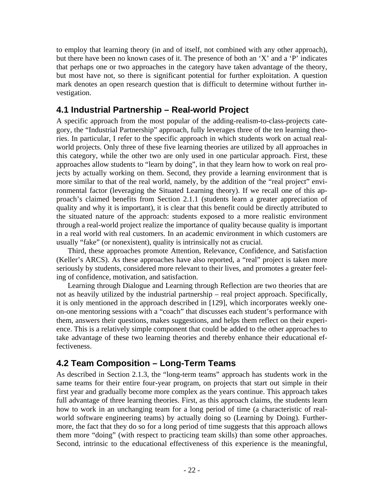to employ that learning theory (in and of itself, not combined with any other approach), but there have been no known cases of it. The presence of both an 'X' and a 'P' indicates that perhaps one or two approaches in the category have taken advantage of the theory, but most have not, so there is significant potential for further exploitation. A question mark denotes an open research question that is difficult to determine without further investigation.

#### **4.1 Industrial Partnership – Real-world Project**

A specific approach from the most popular of the adding-realism-to-class-projects category, the "Industrial Partnership" approach, fully leverages three of the ten learning theories. In particular, I refer to the specific approach in which students work on actual realworld projects. Only three of these five learning theories are utilized by all approaches in this category, while the other two are only used in one particular approach. First, these approaches allow students to "learn by doing", in that they learn how to work on real projects by actually working on them. Second, they provide a learning environment that is more similar to that of the real world, namely, by the addition of the "real project" environmental factor (leveraging the Situated Learning theory). If we recall one of this approach's claimed benefits from Section 2.1.1 (students learn a greater appreciation of quality and why it is important), it is clear that this benefit could be directly attributed to the situated nature of the approach: students exposed to a more realistic environment through a real-world project realize the importance of quality because quality is important in a real world with real customers. In an academic environment in which customers are usually "fake" (or nonexistent), quality is intrinsically not as crucial.

Third, these approaches promote Attention, Relevance, Confidence, and Satisfaction (Keller's ARCS). As these approaches have also reported, a "real" project is taken more seriously by students, considered more relevant to their lives, and promotes a greater feeling of confidence, motivation, and satisfaction.

Learning through Dialogue and Learning through Reflection are two theories that are not as heavily utilized by the industrial partnership – real project approach. Specifically, it is only mentioned in the approach described in [129], which incorporates weekly oneon-one mentoring sessions with a "coach" that discusses each student's performance with them, answers their questions, makes suggestions, and helps them reflect on their experience. This is a relatively simple component that could be added to the other approaches to take advantage of these two learning theories and thereby enhance their educational effectiveness.

### **4.2 Team Composition – Long-Term Teams**

As described in Section 2.1.3, the "long-term teams" approach has students work in the same teams for their entire four-year program, on projects that start out simple in their first year and gradually become more complex as the years continue. This approach takes full advantage of three learning theories. First, as this approach claims, the students learn how to work in an unchanging team for a long period of time (a characteristic of realworld software engineering teams) by actually doing so (Learning by Doing). Furthermore, the fact that they do so for a long period of time suggests that this approach allows them more "doing" (with respect to practicing team skills) than some other approaches. Second, intrinsic to the educational effectiveness of this experience is the meaningful,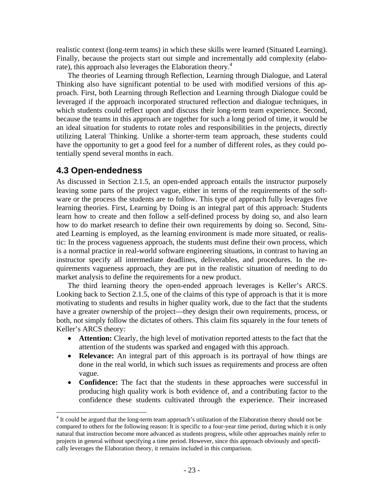realistic context (long-term teams) in which these skills were learned (Situated Learning). Finally, because the projects start out simple and incrementally add complexity (elabo-rate), this approach also leverages the Elaboration theory.<sup>[4](#page-24-0)</sup>

The theories of Learning through Reflection, Learning through Dialogue, and Lateral Thinking also have significant potential to be used with modified versions of this approach. First, both Learning through Reflection and Learning through Dialogue could be leveraged if the approach incorporated structured reflection and dialogue techniques, in which students could reflect upon and discuss their long-term team experience. Second, because the teams in this approach are together for such a long period of time, it would be an ideal situation for students to rotate roles and responsibilities in the projects, directly utilizing Lateral Thinking. Unlike a shorter-term team approach, these students could have the opportunity to get a good feel for a number of different roles, as they could potentially spend several months in each.

#### **4.3 Open-endedness**

1

As discussed in Section 2.1.5, an open-ended approach entails the instructor purposely leaving some parts of the project vague, either in terms of the requirements of the software or the process the students are to follow. This type of approach fully leverages five learning theories. First, Learning by Doing is an integral part of this approach: Students learn how to create and then follow a self-defined process by doing so, and also learn how to do market research to define their own requirements by doing so. Second, Situated Learning is employed, as the learning environment is made more situated, or realistic: In the process vagueness approach, the students must define their own process, which is a normal practice in real-world software engineering situations, in contrast to having an instructor specify all intermediate deadlines, deliverables, and procedures. In the requirements vagueness approach, they are put in the realistic situation of needing to do market analysis to define the requirements for a new product.

The third learning theory the open-ended approach leverages is Keller's ARCS. Looking back to Section 2.1.5, one of the claims of this type of approach is that it is more motivating to students and results in higher quality work, due to the fact that the students have a greater ownership of the project—they design their own requirements, process, or both, not simply follow the dictates of others. This claim fits squarely in the four tenets of Keller's ARCS theory:

- **Attention:** Clearly, the high level of motivation reported attests to the fact that the attention of the students was sparked and engaged with this approach.
- **Relevance:** An integral part of this approach is its portrayal of how things are done in the real world, in which such issues as requirements and process are often vague.
- **Confidence:** The fact that the students in these approaches were successful in producing high quality work is both evidence of, and a contributing factor to the confidence these students cultivated through the experience. Their increased

<span id="page-24-0"></span><sup>&</sup>lt;sup>4</sup> It could be argued that the long-term team approach's utilization of the Elaboration theory should not be compared to others for the following reason: It is specific to a four-year time period, during which it is only natural that instruction become more advanced as students progress, while other approaches mainly refer to projects in general without specifying a time period. However, since this approach obviously and specifically leverages the Elaboration theory, it remains included in this comparison.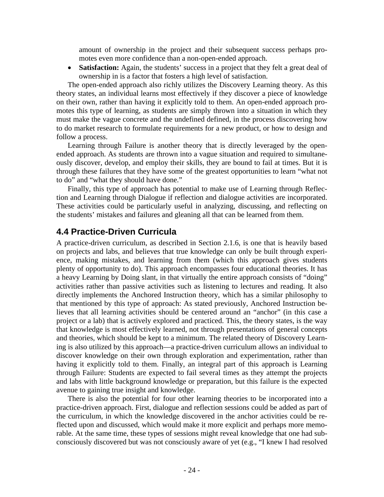amount of ownership in the project and their subsequent success perhaps promotes even more confidence than a non-open-ended approach.

• **Satisfaction:** Again, the students' success in a project that they felt a great deal of ownership in is a factor that fosters a high level of satisfaction.

The open-ended approach also richly utilizes the Discovery Learning theory. As this theory states, an individual learns most effectively if they discover a piece of knowledge on their own, rather than having it explicitly told to them. An open-ended approach promotes this type of learning, as students are simply thrown into a situation in which they must make the vague concrete and the undefined defined, in the process discovering how to do market research to formulate requirements for a new product, or how to design and follow a process.

Learning through Failure is another theory that is directly leveraged by the openended approach. As students are thrown into a vague situation and required to simultaneously discover, develop, and employ their skills, they are bound to fail at times. But it is through these failures that they have some of the greatest opportunities to learn "what not to do" and "what they should have done."

Finally, this type of approach has potential to make use of Learning through Reflection and Learning through Dialogue if reflection and dialogue activities are incorporated. These activities could be particularly useful in analyzing, discussing, and reflecting on the students' mistakes and failures and gleaning all that can be learned from them.

#### **4.4 Practice-Driven Curricula**

A practice-driven curriculum, as described in Section 2.1.6, is one that is heavily based on projects and labs, and believes that true knowledge can only be built through experience, making mistakes, and learning from them (which this approach gives students plenty of opportunity to do). This approach encompasses four educational theories. It has a heavy Learning by Doing slant, in that virtually the entire approach consists of "doing" activities rather than passive activities such as listening to lectures and reading. It also directly implements the Anchored Instruction theory, which has a similar philosophy to that mentioned by this type of approach: As stated previously, Anchored Instruction believes that all learning activities should be centered around an "anchor" (in this case a project or a lab) that is actively explored and practiced. This, the theory states, is the way that knowledge is most effectively learned, not through presentations of general concepts and theories, which should be kept to a minimum. The related theory of Discovery Learning is also utilized by this approach—a practice-driven curriculum allows an individual to discover knowledge on their own through exploration and experimentation, rather than having it explicitly told to them. Finally, an integral part of this approach is Learning through Failure: Students are expected to fail several times as they attempt the projects and labs with little background knowledge or preparation, but this failure is the expected avenue to gaining true insight and knowledge.

There is also the potential for four other learning theories to be incorporated into a practice-driven approach. First, dialogue and reflection sessions could be added as part of the curriculum, in which the knowledge discovered in the anchor activities could be reflected upon and discussed, which would make it more explicit and perhaps more memorable. At the same time, these types of sessions might reveal knowledge that one had subconsciously discovered but was not consciously aware of yet (e.g., "I knew I had resolved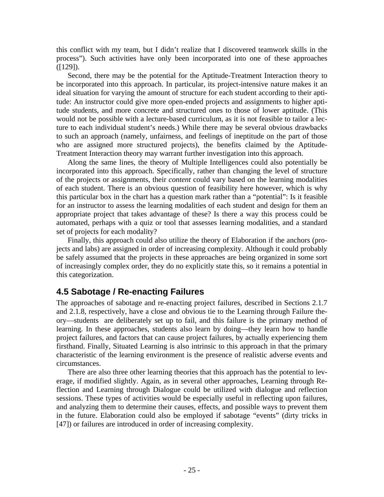this conflict with my team, but I didn't realize that I discovered teamwork skills in the process"). Such activities have only been incorporated into one of these approaches  $([129])$ .

Second, there may be the potential for the Aptitude-Treatment Interaction theory to be incorporated into this approach. In particular, its project-intensive nature makes it an ideal situation for varying the amount of structure for each student according to their aptitude: An instructor could give more open-ended projects and assignments to higher aptitude students, and more concrete and structured ones to those of lower aptitude. (This would not be possible with a lecture-based curriculum, as it is not feasible to tailor a lecture to each individual student's needs.) While there may be several obvious drawbacks to such an approach (namely, unfairness, and feelings of ineptitude on the part of those who are assigned more structured projects), the benefits claimed by the Aptitude-Treatment Interaction theory may warrant further investigation into this approach.

Along the same lines, the theory of Multiple Intelligences could also potentially be incorporated into this approach. Specifically, rather than changing the level of structure of the projects or assignments, their *content* could vary based on the learning modalities of each student. There is an obvious question of feasibility here however, which is why this particular box in the chart has a question mark rather than a "potential": Is it feasible for an instructor to assess the learning modalities of each student and design for them an appropriate project that takes advantage of these? Is there a way this process could be automated, perhaps with a quiz or tool that assesses learning modalities, and a standard set of projects for each modality?

Finally, this approach could also utilize the theory of Elaboration if the anchors (projects and labs) are assigned in order of increasing complexity. Although it could probably be safely assumed that the projects in these approaches are being organized in some sort of increasingly complex order, they do no explicitly state this, so it remains a potential in this categorization.

#### **4.5 Sabotage / Re-enacting Failures**

The approaches of sabotage and re-enacting project failures, described in Sections 2.1.7 and 2.1.8, respectively, have a close and obvious tie to the Learning through Failure theory—students are deliberately set up to fail, and this failure is the primary method of learning. In these approaches, students also learn by doing—they learn how to handle project failures, and factors that can cause project failures, by actually experiencing them firsthand. Finally, Situated Learning is also intrinsic to this approach in that the primary characteristic of the learning environment is the presence of realistic adverse events and circumstances.

There are also three other learning theories that this approach has the potential to leverage, if modified slightly. Again, as in several other approaches, Learning through Reflection and Learning through Dialogue could be utilized with dialogue and reflection sessions. These types of activities would be especially useful in reflecting upon failures, and analyzing them to determine their causes, effects, and possible ways to prevent them in the future. Elaboration could also be employed if sabotage "events" (dirty tricks in [47]) or failures are introduced in order of increasing complexity.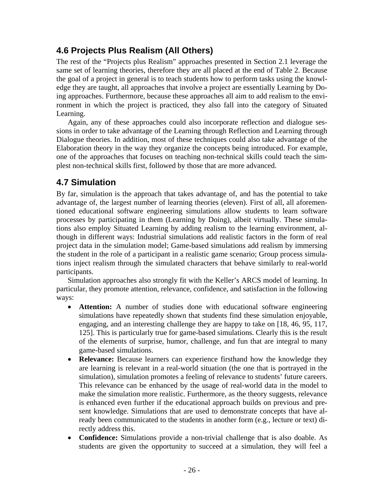### **4.6 Projects Plus Realism (All Others)**

The rest of the "Projects plus Realism" approaches presented in Section 2.1 leverage the same set of learning theories, therefore they are all placed at the end of Table 2. Because the goal of a project in general is to teach students how to perform tasks using the knowledge they are taught, all approaches that involve a project are essentially Learning by Doing approaches. Furthermore, because these approaches all aim to add realism to the environment in which the project is practiced, they also fall into the category of Situated Learning.

Again, any of these approaches could also incorporate reflection and dialogue sessions in order to take advantage of the Learning through Reflection and Learning through Dialogue theories. In addition, most of these techniques could also take advantage of the Elaboration theory in the way they organize the concepts being introduced. For example, one of the approaches that focuses on teaching non-technical skills could teach the simplest non-technical skills first, followed by those that are more advanced.

### **4.7 Simulation**

By far, simulation is the approach that takes advantage of, and has the potential to take advantage of, the largest number of learning theories (eleven). First of all, all aforementioned educational software engineering simulations allow students to learn software processes by participating in them (Learning by Doing), albeit virtually. These simulations also employ Situated Learning by adding realism to the learning environment, although in different ways: Industrial simulations add realistic factors in the form of real project data in the simulation model; Game-based simulations add realism by immersing the student in the role of a participant in a realistic game scenario; Group process simulations inject realism through the simulated characters that behave similarly to real-world participants.

Simulation approaches also strongly fit with the Keller's ARCS model of learning. In particular, they promote attention, relevance, confidence, and satisfaction in the following ways:

- **Attention:** A number of studies done with educational software engineering simulations have repeatedly shown that students find these simulation enjoyable, engaging, and an interesting challenge they are happy to take on [18, 46, 95, 117, 125]. This is particularly true for game-based simulations. Clearly this is the result of the elements of surprise, humor, challenge, and fun that are integral to many game-based simulations.
- **Relevance:** Because learners can experience firsthand how the knowledge they are learning is relevant in a real-world situation (the one that is portrayed in the simulation), simulation promotes a feeling of relevance to students' future careers. This relevance can be enhanced by the usage of real-world data in the model to make the simulation more realistic. Furthermore, as the theory suggests, relevance is enhanced even further if the educational approach builds on previous and present knowledge. Simulations that are used to demonstrate concepts that have already been communicated to the students in another form (e.g., lecture or text) directly address this.
- **Confidence:** Simulations provide a non-trivial challenge that is also doable. As students are given the opportunity to succeed at a simulation, they will feel a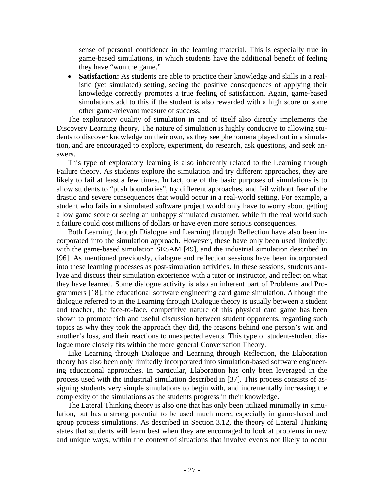sense of personal confidence in the learning material. This is especially true in game-based simulations, in which students have the additional benefit of feeling they have "won the game."

• **Satisfaction:** As students are able to practice their knowledge and skills in a realistic (yet simulated) setting, seeing the positive consequences of applying their knowledge correctly promotes a true feeling of satisfaction. Again, game-based simulations add to this if the student is also rewarded with a high score or some other game-relevant measure of success.

The exploratory quality of simulation in and of itself also directly implements the Discovery Learning theory. The nature of simulation is highly conducive to allowing students to discover knowledge on their own, as they see phenomena played out in a simulation, and are encouraged to explore, experiment, do research, ask questions, and seek answers.

This type of exploratory learning is also inherently related to the Learning through Failure theory. As students explore the simulation and try different approaches, they are likely to fail at least a few times. In fact, one of the basic purposes of simulations is to allow students to "push boundaries", try different approaches, and fail without fear of the drastic and severe consequences that would occur in a real-world setting. For example, a student who fails in a simulated software project would only have to worry about getting a low game score or seeing an unhappy simulated customer, while in the real world such a failure could cost millions of dollars or have even more serious consequences.

Both Learning through Dialogue and Learning through Reflection have also been incorporated into the simulation approach. However, these have only been used limitedly: with the game-based simulation SESAM [49], and the industrial simulation described in [96]. As mentioned previously, dialogue and reflection sessions have been incorporated into these learning processes as post-simulation activities. In these sessions, students analyze and discuss their simulation experience with a tutor or instructor, and reflect on what they have learned. Some dialogue activity is also an inherent part of Problems and Programmers [18], the educational software engineering card game simulation. Although the dialogue referred to in the Learning through Dialogue theory is usually between a student and teacher, the face-to-face, competitive nature of this physical card game has been shown to promote rich and useful discussion between student opponents, regarding such topics as why they took the approach they did, the reasons behind one person's win and another's loss, and their reactions to unexpected events. This type of student-student dialogue more closely fits within the more general Conversation Theory.

Like Learning through Dialogue and Learning through Reflection, the Elaboration theory has also been only limitedly incorporated into simulation-based software engineering educational approaches. In particular, Elaboration has only been leveraged in the process used with the industrial simulation described in [37]. This process consists of assigning students very simple simulations to begin with, and incrementally increasing the complexity of the simulations as the students progress in their knowledge.

The Lateral Thinking theory is also one that has only been utilized minimally in simulation, but has a strong potential to be used much more, especially in game-based and group process simulations. As described in Section 3.12, the theory of Lateral Thinking states that students will learn best when they are encouraged to look at problems in new and unique ways, within the context of situations that involve events not likely to occur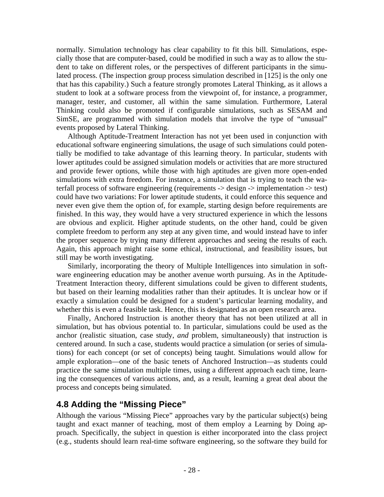normally. Simulation technology has clear capability to fit this bill. Simulations, especially those that are computer-based, could be modified in such a way as to allow the student to take on different roles, or the perspectives of different participants in the simulated process. (The inspection group process simulation described in [125] is the only one that has this capability.) Such a feature strongly promotes Lateral Thinking, as it allows a student to look at a software process from the viewpoint of, for instance, a programmer, manager, tester, and customer, all within the same simulation. Furthermore, Lateral Thinking could also be promoted if configurable simulations, such as SESAM and SimSE, are programmed with simulation models that involve the type of "unusual" events proposed by Lateral Thinking.

Although Aptitude-Treatment Interaction has not yet been used in conjunction with educational software engineering simulations, the usage of such simulations could potentially be modified to take advantage of this learning theory. In particular, students with lower aptitudes could be assigned simulation models or activities that are more structured and provide fewer options, while those with high aptitudes are given more open-ended simulations with extra freedom. For instance, a simulation that is trying to teach the waterfall process of software engineering (requirements -> design -> implementation -> test) could have two variations: For lower aptitude students, it could enforce this sequence and never even give them the option of, for example, starting design before requirements are finished. In this way, they would have a very structured experience in which the lessons are obvious and explicit. Higher aptitude students, on the other hand, could be given complete freedom to perform any step at any given time, and would instead have to infer the proper sequence by trying many different approaches and seeing the results of each. Again, this approach might raise some ethical, instructional, and feasibility issues, but still may be worth investigating.

Similarly, incorporating the theory of Multiple Intelligences into simulation in software engineering education may be another avenue worth pursuing. As in the Aptitude-Treatment Interaction theory, different simulations could be given to different students, but based on their learning modalities rather than their aptitudes. It is unclear how or if exactly a simulation could be designed for a student's particular learning modality, and whether this is even a feasible task. Hence, this is designated as an open research area.

Finally, Anchored Instruction is another theory that has not been utilized at all in simulation, but has obvious potential to. In particular, simulations could be used as the anchor (realistic situation, case study, *and* problem, simultaneously) that instruction is centered around. In such a case, students would practice a simulation (or series of simulations) for each concept (or set of concepts) being taught. Simulations would allow for ample exploration—one of the basic tenets of Anchored Instruction—as students could practice the same simulation multiple times, using a different approach each time, learning the consequences of various actions, and, as a result, learning a great deal about the process and concepts being simulated.

#### **4.8 Adding the "Missing Piece"**

Although the various "Missing Piece" approaches vary by the particular subject(s) being taught and exact manner of teaching, most of them employ a Learning by Doing approach. Specifically, the subject in question is either incorporated into the class project (e.g., students should learn real-time software engineering, so the software they build for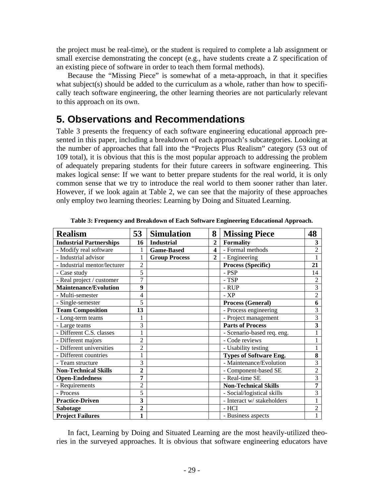the project must be real-time), or the student is required to complete a lab assignment or small exercise demonstrating the concept (e.g., have students create a Z specification of an existing piece of software in order to teach them formal methods).

Because the "Missing Piece" is somewhat of a meta-approach, in that it specifies what subject(s) should be added to the curriculum as a whole, rather than how to specifically teach software engineering, the other learning theories are not particularly relevant to this approach on its own.

### **5. Observations and Recommendations**

Table 3 presents the frequency of each software engineering educational approach presented in this paper, including a breakdown of each approach's subcategories. Looking at the number of approaches that fall into the "Projects Plus Realism" category (53 out of 109 total), it is obvious that this is the most popular approach to addressing the problem of adequately preparing students for their future careers in software engineering. This makes logical sense: If we want to better prepare students for the real world, it is only common sense that we try to introduce the real world to them sooner rather than later. However, if we look again at Table 2, we can see that the majority of these approaches only employ two learning theories: Learning by Doing and Situated Learning.

| <b>Realism</b>                 | 53             | <b>Simulation</b>    | 8              | <b>Missing Piece</b>          | 48                      |
|--------------------------------|----------------|----------------------|----------------|-------------------------------|-------------------------|
| <b>Industrial Partnerships</b> | 16             | <b>Industrial</b>    | $\overline{2}$ | <b>Formality</b>              | 3                       |
| - Modify real software         | 1              | <b>Game-Based</b>    | 4              | - Formal methods              | $\overline{c}$          |
| - Industrial advisor           | 1              | <b>Group Process</b> | $\mathbf{2}$   | - Engineering                 | $\mathbf{1}$            |
| - Industrial mentor/lecturer   | $\overline{2}$ |                      |                | <b>Process (Specific)</b>     | 21                      |
| - Case study                   | 5              |                      |                | - PSP                         | 14                      |
| - Real project / customer      | 7              |                      |                | - TSP                         | 2                       |
| <b>Maintenance/Evolution</b>   | 9              |                      |                | - RUP                         | $\overline{3}$          |
| - Multi-semester               | 4              |                      |                | $-XP$                         | $\overline{2}$          |
| - Single-semester              | 5              |                      |                | Process (General)             | 6                       |
| <b>Team Composition</b>        | 13             |                      |                | - Process engineering         | 3                       |
| - Long-term teams              |                |                      |                | - Project management          | $\overline{3}$          |
| - Large teams                  | 3              |                      |                | <b>Parts of Process</b>       | $\overline{\mathbf{3}}$ |
| - Different C.S. classes       | $\mathbf{1}$   |                      |                | - Scenario-based req. eng.    |                         |
| - Different majors             | $\overline{2}$ |                      |                | - Code reviews                | $\mathbf{1}$            |
| - Different universities       | $\overline{2}$ |                      |                | - Usability testing           |                         |
| - Different countries          | $\mathbf{1}$   |                      |                | <b>Types of Software Eng.</b> | 8                       |
| - Team structure               | 3              |                      |                | - Maintenance/Evolution       | 3                       |
| <b>Non-Technical Skills</b>    | 2              |                      |                | - Component-based SE          | $\overline{2}$          |
| <b>Open-Endedness</b>          | 7              |                      |                | - Real-time SE                | 3                       |
| - Requirements                 | 2              |                      |                | <b>Non-Technical Skills</b>   | 7                       |
| - Process                      | 5              |                      |                | - Social/logistical skills    | 3                       |
| <b>Practice-Driven</b>         | 3              |                      |                | - Interact w/ stakeholders    |                         |
| Sabotage                       | $\overline{2}$ |                      |                | - HCI                         | $\overline{2}$          |
| <b>Project Failures</b>        | $\mathbf{1}$   |                      |                | - Business aspects            |                         |

**Table 3: Frequency and Breakdown of Each Software Engineering Educational Approach.** 

In fact, Learning by Doing and Situated Learning are the most heavily-utilized theories in the surveyed approaches. It is obvious that software engineering educators have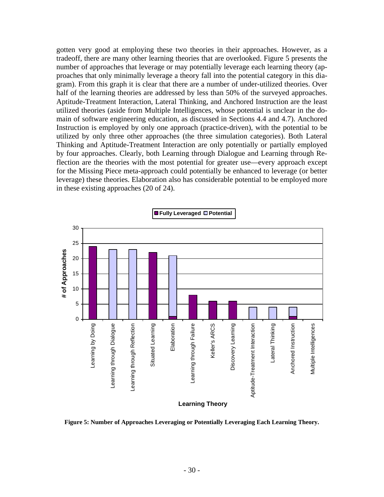gotten very good at employing these two theories in their approaches. However, as a tradeoff, there are many other learning theories that are overlooked. Figure 5 presents the number of approaches that leverage or may potentially leverage each learning theory (approaches that only minimally leverage a theory fall into the potential category in this diagram). From this graph it is clear that there are a number of under-utilized theories. Over half of the learning theories are addressed by less than 50% of the surveyed approaches. Aptitude-Treatment Interaction, Lateral Thinking, and Anchored Instruction are the least utilized theories (aside from Multiple Intelligences, whose potential is unclear in the domain of software engineering education, as discussed in Sections 4.4 and 4.7). Anchored Instruction is employed by only one approach (practice-driven), with the potential to be utilized by only three other approaches (the three simulation categories). Both Lateral Thinking and Aptitude-Treatment Interaction are only potentially or partially employed by four approaches. Clearly, both Learning through Dialogue and Learning through Reflection are the theories with the most potential for greater use—every approach except for the Missing Piece meta-approach could potentially be enhanced to leverage (or better leverage) these theories. Elaboration also has considerable potential to be employed more in these existing approaches (20 of 24).



**Figure 5: Number of Approaches Leveraging or Potentially Leveraging Each Learning Theory.**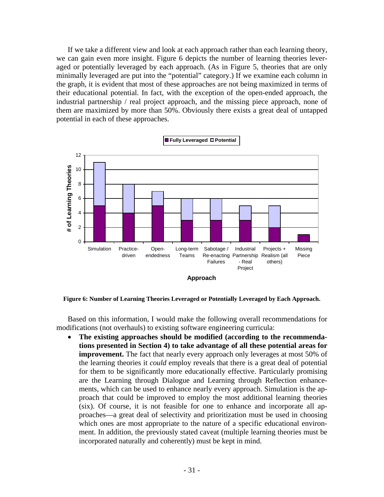If we take a different view and look at each approach rather than each learning theory, we can gain even more insight. Figure 6 depicts the number of learning theories leveraged or potentially leveraged by each approach. (As in Figure 5, theories that are only minimally leveraged are put into the "potential" category.) If we examine each column in the graph, it is evident that most of these approaches are not being maximized in terms of their educational potential. In fact, with the exception of the open-ended approach, the industrial partnership / real project approach, and the missing piece approach, none of them are maximized by more than 50%. Obviously there exists a great deal of untapped potential in each of these approaches.



**Figure 6: Number of Learning Theories Leveraged or Potentially Leveraged by Each Approach.**

Based on this information, I would make the following overall recommendations for modifications (not overhauls) to existing software engineering curricula:

• **The existing approaches should be modified (according to the recommendations presented in Section 4) to take advantage of all these potential areas for improvement.** The fact that nearly every approach only leverages at most 50% of the learning theories it *could* employ reveals that there is a great deal of potential for them to be significantly more educationally effective. Particularly promising are the Learning through Dialogue and Learning through Reflection enhancements, which can be used to enhance nearly every approach. Simulation is the approach that could be improved to employ the most additional learning theories (six). Of course, it is not feasible for one to enhance and incorporate all approaches—a great deal of selectivity and prioritization must be used in choosing which ones are most appropriate to the nature of a specific educational environment. In addition, the previously stated caveat (multiple learning theories must be incorporated naturally and coherently) must be kept in mind.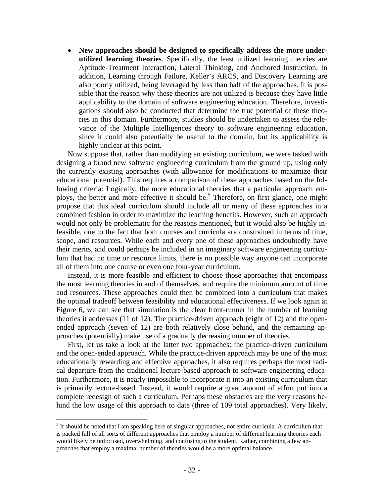• **New approaches should be designed to specifically address the more underutilized learning theories**. Specifically, the least utilized learning theories are Aptitude-Treatment Interaction, Lateral Thinking, and Anchored Instruction. In addition, Learning through Failure, Keller's ARCS, and Discovery Learning are also poorly utilized, being leveraged by less than half of the approaches. It is possible that the reason why these theories are not utilized is because they have little applicability to the domain of software engineering education. Therefore, investigations should also be conducted that determine the true potential of these theories in this domain. Furthermore, studies should be undertaken to assess the relevance of the Multiple Intelligences theory to software engineering education, since it could also potentially be useful to the domain, but its applicability is highly unclear at this point.

Now suppose that, rather than modifying an existing curriculum, we were tasked with designing a brand new software engineering curriculum from the ground up, using only the currently existing approaches (with allowance for modifications to maximize their educational potential). This requires a comparison of these approaches based on the following criteria: Logically, the more educational theories that a particular approach em-ploys, the better and more effective it should be.<sup>[5](#page-33-0)</sup> Therefore, on first glance, one might propose that this ideal curriculum should include all or many of these approaches in a combined fashion in order to maximize the learning benefits. However, such an approach would not only be problematic for the reasons mentioned, but it would also be highly infeasible, due to the fact that both courses and curricula are constrained in terms of time, scope, and resources. While each and every one of these approaches undoubtedly have their merits, and could perhaps be included in an imaginary software engineering curriculum that had no time or resource limits, there is no possible way anyone can incorporate all of them into one course or even one four-year curriculum.

Instead, it is more feasible and efficient to choose those approaches that encompass the most learning theories in and of themselves, and require the minimum amount of time and resources. These approaches could then be combined into a curriculum that makes the optimal tradeoff between feasibility and educational effectiveness. If we look again at Figure 6, we can see that simulation is the clear front-runner in the number of learning theories it addresses (11 of 12). The practice-driven approach (eight of 12) and the openended approach (seven of 12) are both relatively close behind, and the remaining approaches (potentially) make use of a gradually decreasing number of theories.

First, let us take a look at the latter two approaches: the practice-driven curriculum and the open-ended approach. While the practice-driven approach may be one of the most educationally rewarding and effective approaches, it also requires perhaps the most radical departure from the traditional lecture-based approach to software engineering education. Furthermore, it is nearly impossible to incorporate it into an existing curriculum that is primarily lecture-based. Instead, it would require a great amount of effort put into a complete redesign of such a curriculum. Perhaps these obstacles are the very reasons behind the low usage of this approach to date (three of 109 total approaches). Very likely,

 $\overline{a}$ 

<span id="page-33-0"></span> $<sup>5</sup>$  It should be noted that I am speaking here of singular approaches, not entire curricula. A curriculum that</sup> is packed full of all sorts of different approaches that employ a number of different learning theories each would likely be unfocused, overwhelming, and confusing to the student. Rather, combining a few approaches that employ a maximal number of theories would be a more optimal balance.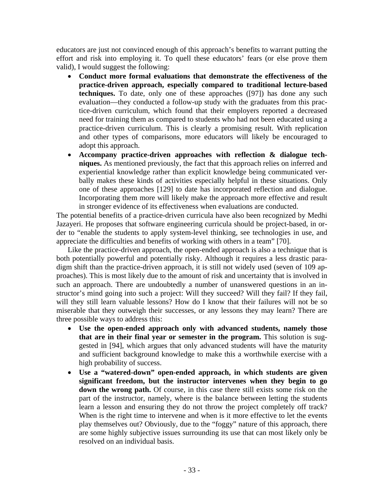educators are just not convinced enough of this approach's benefits to warrant putting the effort and risk into employing it. To quell these educators' fears (or else prove them valid), I would suggest the following:

- **Conduct more formal evaluations that demonstrate the effectiveness of the practice-driven approach, especially compared to traditional lecture-based techniques.** To date, only one of these approaches ([97]) has done any such evaluation—they conducted a follow-up study with the graduates from this practice-driven curriculum, which found that their employers reported a decreased need for training them as compared to students who had not been educated using a practice-driven curriculum. This is clearly a promising result. With replication and other types of comparisons, more educators will likely be encouraged to adopt this approach.
- **Accompany practice-driven approaches with reflection & dialogue techniques.** As mentioned previously, the fact that this approach relies on inferred and experiential knowledge rather than explicit knowledge being communicated verbally makes these kinds of activities especially helpful in these situations. Only one of these approaches [129] to date has incorporated reflection and dialogue. Incorporating them more will likely make the approach more effective and result in stronger evidence of its effectiveness when evaluations are conducted.

The potential benefits of a practice-driven curricula have also been recognized by Medhi Jazayeri. He proposes that software engineering curricula should be project-based, in order to "enable the students to apply system-level thinking, see technologies in use, and appreciate the difficulties and benefits of working with others in a team" [70].

Like the practice-driven approach, the open-ended approach is also a technique that is both potentially powerful and potentially risky. Although it requires a less drastic paradigm shift than the practice-driven approach, it is still not widely used (seven of 109 approaches). This is most likely due to the amount of risk and uncertainty that is involved in such an approach. There are undoubtedly a number of unanswered questions in an instructor's mind going into such a project: Will they succeed? Will they fail? If they fail, will they still learn valuable lessons? How do I know that their failures will not be so miserable that they outweigh their successes, or any lessons they may learn? There are three possible ways to address this:

- **Use the open-ended approach only with advanced students, namely those that are in their final year or semester in the program.** This solution is suggested in [94], which argues that only advanced students will have the maturity and sufficient background knowledge to make this a worthwhile exercise with a high probability of success.
- **Use a "watered-down" open-ended approach, in which students are given significant freedom, but the instructor intervenes when they begin to go down the wrong path.** Of course, in this case there still exists some risk on the part of the instructor, namely, where is the balance between letting the students learn a lesson and ensuring they do not throw the project completely off track? When is the right time to intervene and when is it more effective to let the events play themselves out? Obviously, due to the "foggy" nature of this approach, there are some highly subjective issues surrounding its use that can most likely only be resolved on an individual basis.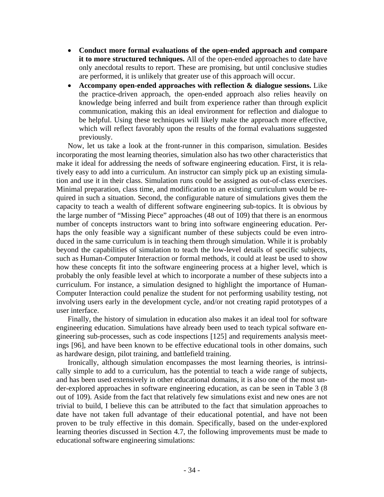- **Conduct more formal evaluations of the open-ended approach and compare it to more structured techniques.** All of the open-ended approaches to date have only anecdotal results to report. These are promising, but until conclusive studies are performed, it is unlikely that greater use of this approach will occur.
- **Accompany open-ended approaches with reflection & dialogue sessions.** Like the practice-driven approach, the open-ended approach also relies heavily on knowledge being inferred and built from experience rather than through explicit communication, making this an ideal environment for reflection and dialogue to be helpful. Using these techniques will likely make the approach more effective, which will reflect favorably upon the results of the formal evaluations suggested previously.

Now, let us take a look at the front-runner in this comparison, simulation. Besides incorporating the most learning theories, simulation also has two other characteristics that make it ideal for addressing the needs of software engineering education. First, it is relatively easy to add into a curriculum. An instructor can simply pick up an existing simulation and use it in their class. Simulation runs could be assigned as out-of-class exercises. Minimal preparation, class time, and modification to an existing curriculum would be required in such a situation. Second, the configurable nature of simulations gives them the capacity to teach a wealth of different software engineering sub-topics. It is obvious by the large number of "Missing Piece" approaches (48 out of 109) that there is an enormous number of concepts instructors want to bring into software engineering education. Perhaps the only feasible way a significant number of these subjects could be even introduced in the same curriculum is in teaching them through simulation. While it is probably beyond the capabilities of simulation to teach the low-level details of specific subjects, such as Human-Computer Interaction or formal methods, it could at least be used to show how these concepts fit into the software engineering process at a higher level, which is probably the only feasible level at which to incorporate a number of these subjects into a curriculum. For instance, a simulation designed to highlight the importance of Human-Computer Interaction could penalize the student for not performing usability testing, not involving users early in the development cycle, and/or not creating rapid prototypes of a user interface.

Finally, the history of simulation in education also makes it an ideal tool for software engineering education. Simulations have already been used to teach typical software engineering sub-processes, such as code inspections [125] and requirements analysis meetings [96], and have been known to be effective educational tools in other domains, such as hardware design, pilot training, and battlefield training.

Ironically, although simulation encompasses the most learning theories, is intrinsically simple to add to a curriculum, has the potential to teach a wide range of subjects, and has been used extensively in other educational domains, it is also one of the most under-explored approaches in software engineering education, as can be seen in Table 3 (8 out of 109). Aside from the fact that relatively few simulations exist and new ones are not trivial to build, I believe this can be attributed to the fact that simulation approaches to date have not taken full advantage of their educational potential, and have not been proven to be truly effective in this domain. Specifically, based on the under-explored learning theories discussed in Section 4.7, the following improvements must be made to educational software engineering simulations: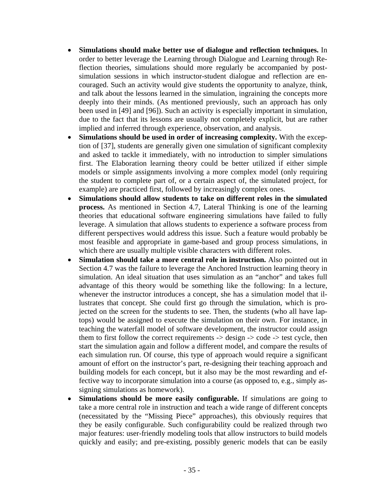- **Simulations should make better use of dialogue and reflection techniques.** In order to better leverage the Learning through Dialogue and Learning through Reflection theories, simulations should more regularly be accompanied by postsimulation sessions in which instructor-student dialogue and reflection are encouraged. Such an activity would give students the opportunity to analyze, think, and talk about the lessons learned in the simulation, ingraining the concepts more deeply into their minds. (As mentioned previously, such an approach has only been used in [49] and [96]). Such an activity is especially important in simulation, due to the fact that its lessons are usually not completely explicit, but are rather implied and inferred through experience, observation, and analysis.
- **Simulations should be used in order of increasing complexity.** With the exception of [37], students are generally given one simulation of significant complexity and asked to tackle it immediately, with no introduction to simpler simulations first. The Elaboration learning theory could be better utilized if either simple models or simple assignments involving a more complex model (only requiring the student to complete part of, or a certain aspect of, the simulated project, for example) are practiced first, followed by increasingly complex ones.
- **Simulations should allow students to take on different roles in the simulated process.** As mentioned in Section 4.7, Lateral Thinking is one of the learning theories that educational software engineering simulations have failed to fully leverage. A simulation that allows students to experience a software process from different perspectives would address this issue. Such a feature would probably be most feasible and appropriate in game-based and group process simulations, in which there are usually multiple visible characters with different roles.
- **Simulation should take a more central role in instruction.** Also pointed out in Section 4.7 was the failure to leverage the Anchored Instruction learning theory in simulation. An ideal situation that uses simulation as an "anchor" and takes full advantage of this theory would be something like the following: In a lecture, whenever the instructor introduces a concept, she has a simulation model that illustrates that concept. She could first go through the simulation, which is projected on the screen for the students to see. Then, the students (who all have laptops) would be assigned to execute the simulation on their own. For instance, in teaching the waterfall model of software development, the instructor could assign them to first follow the correct requirements  $\rightarrow$  design  $\rightarrow$  code  $\rightarrow$  test cycle, then start the simulation again and follow a different model, and compare the results of each simulation run. Of course, this type of approach would require a significant amount of effort on the instructor's part, re-designing their teaching approach and building models for each concept, but it also may be the most rewarding and effective way to incorporate simulation into a course (as opposed to, e.g., simply assigning simulations as homework).
- **Simulations should be more easily configurable.** If simulations are going to take a more central role in instruction and teach a wide range of different concepts (necessitated by the "Missing Piece" approaches), this obviously requires that they be easily configurable. Such configurability could be realized through two major features: user-friendly modeling tools that allow instructors to build models quickly and easily; and pre-existing, possibly generic models that can be easily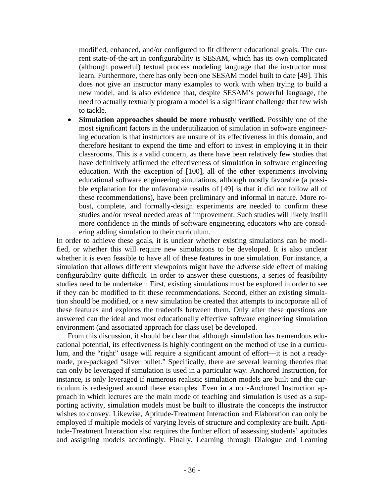modified, enhanced, and/or configured to fit different educational goals. The current state-of-the-art in configurability is SESAM, which has its own complicated (although powerful) textual process modeling language that the instructor must learn. Furthermore, there has only been one SESAM model built to date [49]. This does not give an instructor many examples to work with when trying to build a new model, and is also evidence that, despite SESAM's powerful language, the need to actually textually program a model is a significant challenge that few wish to tackle.

• **Simulation approaches should be more robustly verified.** Possibly one of the most significant factors in the underutilization of simulation in software engineering education is that instructors are unsure of its effectiveness in this domain, and therefore hesitant to expend the time and effort to invest in employing it in their classrooms. This is a valid concern, as there have been relatively few studies that have definitively affirmed the effectiveness of simulation in software engineering education. With the exception of [100], all of the other experiments involving educational software engineering simulations, although mostly favorable (a possible explanation for the unfavorable results of [49] is that it did not follow all of these recommendations), have been preliminary and informal in nature. More robust, complete, and formally-design experiments are needed to confirm these studies and/or reveal needed areas of improvement. Such studies will likely instill more confidence in the minds of software engineering educators who are considering adding simulation to their curriculum.

In order to achieve these goals, it is unclear whether existing simulations can be modified, or whether this will require new simulations to be developed. It is also unclear whether it is even feasible to have all of these features in one simulation. For instance, a simulation that allows different viewpoints might have the adverse side effect of making configurability quite difficult. In order to answer these questions, a series of feasibility studies need to be undertaken: First, existing simulations must be explored in order to see if they can be modified to fit these recommendations. Second, either an existing simulation should be modified, or a new simulation be created that attempts to incorporate all of these features and explores the tradeoffs between them. Only after these questions are answered can the ideal and most educationally effective software engineering simulation environment (and associated approach for class use) be developed.

From this discussion, it should be clear that although simulation has tremendous educational potential, its effectiveness is highly contingent on the method of use in a curriculum, and the "right" usage will require a significant amount of effort—it is not a readymade, pre-packaged "silver bullet." Specifically, there are several learning theories that can only be leveraged if simulation is used in a particular way. Anchored Instruction, for instance, is only leveraged if numerous realistic simulation models are built and the curriculum is redesigned around these examples. Even in a non-Anchored Instruction approach in which lectures are the main mode of teaching and simulation is used as a supporting activity, simulation models must be built to illustrate the concepts the instructor wishes to convey. Likewise, Aptitude-Treatment Interaction and Elaboration can only be employed if multiple models of varying levels of structure and complexity are built. Aptitude-Treatment Interaction also requires the further effort of assessing students' aptitudes and assigning models accordingly. Finally, Learning through Dialogue and Learning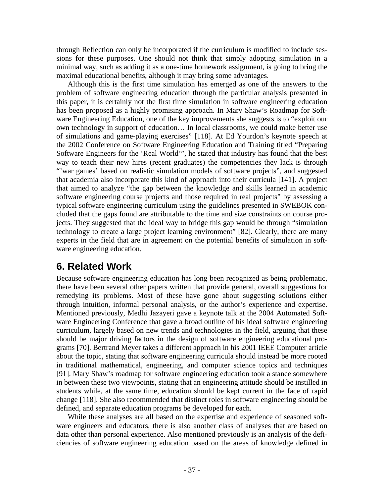through Reflection can only be incorporated if the curriculum is modified to include sessions for these purposes. One should not think that simply adopting simulation in a minimal way, such as adding it as a one-time homework assignment, is going to bring the maximal educational benefits, although it may bring some advantages.

Although this is the first time simulation has emerged as one of the answers to the problem of software engineering education through the particular analysis presented in this paper, it is certainly not the first time simulation in software engineering education has been proposed as a highly promising approach. In Mary Shaw's Roadmap for Software Engineering Education, one of the key improvements she suggests is to "exploit our own technology in support of education… In local classrooms, we could make better use of simulations and game-playing exercises" [118]. At Ed Yourdon's keynote speech at the 2002 Conference on Software Engineering Education and Training titled "Preparing Software Engineers for the 'Real World'", he stated that industry has found that the best way to teach their new hires (recent graduates) the competencies they lack is through "'war games' based on realistic simulation models of software projects", and suggested that academia also incorporate this kind of approach into their curricula [141]. A project that aimed to analyze "the gap between the knowledge and skills learned in academic software engineering course projects and those required in real projects" by assessing a typical software engineering curriculum using the guidelines presented in SWEBOK concluded that the gaps found are attributable to the time and size constraints on course projects. They suggested that the ideal way to bridge this gap would be through "simulation technology to create a large project learning environment" [82]. Clearly, there are many experts in the field that are in agreement on the potential benefits of simulation in software engineering education.

# **6. Related Work**

Because software engineering education has long been recognized as being problematic, there have been several other papers written that provide general, overall suggestions for remedying its problems. Most of these have gone about suggesting solutions either through intuition, informal personal analysis, or the author's experience and expertise. Mentioned previously, Medhi Jazayeri gave a keynote talk at the 2004 Automated Software Engineering Conference that gave a broad outline of his ideal software engineering curriculum, largely based on new trends and technologies in the field, arguing that these should be major driving factors in the design of software engineering educational programs [70]. Bertrand Meyer takes a different approach in his 2001 IEEE Computer article about the topic, stating that software engineering curricula should instead be more rooted in traditional mathematical, engineering, and computer science topics and techniques [91]. Mary Shaw's roadmap for software engineering education took a stance somewhere in between these two viewpoints, stating that an engineering attitude should be instilled in students while, at the same time, education should be kept current in the face of rapid change [118]. She also recommended that distinct roles in software engineering should be defined, and separate education programs be developed for each.

While these analyses are all based on the expertise and experience of seasoned software engineers and educators, there is also another class of analyses that are based on data other than personal experience. Also mentioned previously is an analysis of the deficiencies of software engineering education based on the areas of knowledge defined in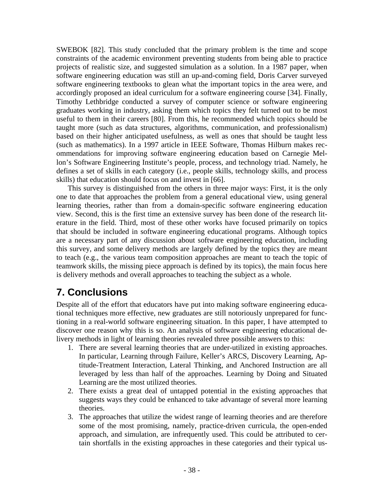SWEBOK [82]. This study concluded that the primary problem is the time and scope constraints of the academic environment preventing students from being able to practice projects of realistic size, and suggested simulation as a solution. In a 1987 paper, when software engineering education was still an up-and-coming field, Doris Carver surveyed software engineering textbooks to glean what the important topics in the area were, and accordingly proposed an ideal curriculum for a software engineering course [34]. Finally, Timothy Lethbridge conducted a survey of computer science or software engineering graduates working in industry, asking them which topics they felt turned out to be most useful to them in their careers [80]. From this, he recommended which topics should be taught more (such as data structures, algorithms, communication, and professionalism) based on their higher anticipated usefulness, as well as ones that should be taught less (such as mathematics). In a 1997 article in IEEE Software, Thomas Hilburn makes recommendations for improving software engineering education based on Carnegie Mellon's Software Engineering Institute's people, process, and technology triad. Namely, he defines a set of skills in each category (i.e., people skills, technology skills, and process skills) that education should focus on and invest in [66].

This survey is distinguished from the others in three major ways: First, it is the only one to date that approaches the problem from a general educational view, using general learning theories, rather than from a domain-specific software engineering education view. Second, this is the first time an extensive survey has been done of the research literature in the field. Third, most of these other works have focused primarily on topics that should be included in software engineering educational programs. Although topics are a necessary part of any discussion about software engineering education, including this survey, and some delivery methods are largely defined by the topics they are meant to teach (e.g., the various team composition approaches are meant to teach the topic of teamwork skills, the missing piece approach is defined by its topics), the main focus here is delivery methods and overall approaches to teaching the subject as a whole.

# **7. Conclusions**

Despite all of the effort that educators have put into making software engineering educational techniques more effective, new graduates are still notoriously unprepared for functioning in a real-world software engineering situation. In this paper, I have attempted to discover one reason why this is so. An analysis of software engineering educational delivery methods in light of learning theories revealed three possible answers to this:

- 1. There are several learning theories that are under-utilized in existing approaches. In particular, Learning through Failure, Keller's ARCS, Discovery Learning, Aptitude-Treatment Interaction, Lateral Thinking, and Anchored Instruction are all leveraged by less than half of the approaches. Learning by Doing and Situated Learning are the most utilized theories.
- 2. There exists a great deal of untapped potential in the existing approaches that suggests ways they could be enhanced to take advantage of several more learning theories.
- 3. The approaches that utilize the widest range of learning theories and are therefore some of the most promising, namely, practice-driven curricula, the open-ended approach, and simulation, are infrequently used. This could be attributed to certain shortfalls in the existing approaches in these categories and their typical us-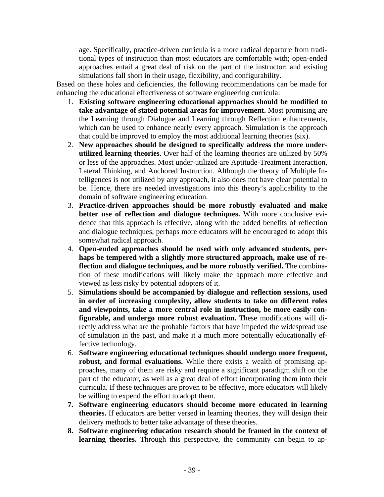age. Specifically, practice-driven curricula is a more radical departure from traditional types of instruction than most educators are comfortable with; open-ended approaches entail a great deal of risk on the part of the instructor; and existing simulations fall short in their usage, flexibility, and configurability.

Based on these holes and deficiencies, the following recommendations can be made for enhancing the educational effectiveness of software engineering curricula:

- 1. **Existing software engineering educational approaches should be modified to take advantage of stated potential areas for improvement.** Most promising are the Learning through Dialogue and Learning through Reflection enhancements, which can be used to enhance nearly every approach. Simulation is the approach that could be improved to employ the most additional learning theories (six).
- 2. **New approaches should be designed to specifically address the more underutilized learning theories**. Over half of the learning theories are utilized by 50% or less of the approaches. Most under-utilized are Aptitude-Treatment Interaction, Lateral Thinking, and Anchored Instruction. Although the theory of Multiple Intelligences is not utilized by any approach, it also does not have clear potential to be. Hence, there are needed investigations into this theory's applicability to the domain of software engineering education.
- 3. **Practice-driven approaches should be more robustly evaluated and make better use of reflection and dialogue techniques.** With more conclusive evidence that this approach is effective, along with the added benefits of reflection and dialogue techniques, perhaps more educators will be encouraged to adopt this somewhat radical approach.
- 4. **Open-ended approaches should be used with only advanced students, perhaps be tempered with a slightly more structured approach, make use of reflection and dialogue techniques, and be more robustly verified.** The combination of these modifications will likely make the approach more effective and viewed as less risky by potential adopters of it.
- 5. **Simulations should be accompanied by dialogue and reflection sessions, used in order of increasing complexity, allow students to take on different roles and viewpoints, take a more central role in instruction, be more easily configurable, and undergo more robust evaluation.** These modifications will directly address what are the probable factors that have impeded the widespread use of simulation in the past, and make it a much more potentially educationally effective technology.
- 6. **Software engineering educational techniques should undergo more frequent, robust, and formal evaluations.** While there exists a wealth of promising approaches, many of them are risky and require a significant paradigm shift on the part of the educator, as well as a great deal of effort incorporating them into their curricula. If these techniques are proven to be effective, more educators will likely be willing to expend the effort to adopt them.
- **7. Software engineering educators should become more educated in learning theories.** If educators are better versed in learning theories, they will design their delivery methods to better take advantage of these theories.
- **8. Software engineering education research should be framed in the context of learning theories.** Through this perspective, the community can begin to ap-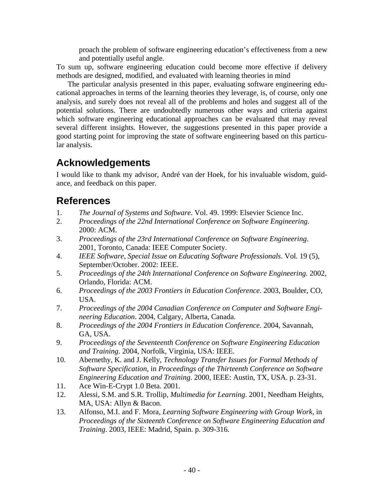proach the problem of software engineering education's effectiveness from a new and potentially useful angle.

To sum up, software engineering education could become more effective if delivery methods are designed, modified, and evaluated with learning theories in mind

The particular analysis presented in this paper, evaluating software engineering educational approaches in terms of the learning theories they leverage, is, of course, only one analysis, and surely does not reveal all of the problems and holes and suggest all of the potential solutions. There are undoubtedly numerous other ways and criteria against which software engineering educational approaches can be evaluated that may reveal several different insights. However, the suggestions presented in this paper provide a good starting point for improving the state of software engineering based on this particular analysis.

## **Acknowledgements**

I would like to thank my advisor, André van der Hoek, for his invaluable wisdom, guidance, and feedback on this paper.

### **References**

- 1. *The Journal of Systems and Software*. Vol. 49. 1999: Elsevier Science Inc.
- 2. *Proceedings of the 22nd International Conference on Software Engineering*. 2000: ACM.
- 3. *Proceedings of the 23rd International Conference on Software Engineering*. 2001, Toronto, Canada: IEEE Computer Society.
- 4. *IEEE Software, Special Issue on Educating Software Professionals*. Vol. 19 (5), September/October. 2002: IEEE.
- 5. *Proceedings of the 24th International Conference on Software Engineering*. 2002, Orlando, Florida: ACM.
- 6. *Proceedings of the 2003 Frontiers in Education Conference*. 2003, Boulder, CO, USA.
- 7. *Proceedings of the 2004 Canadian Conference on Computer and Software Engineering Education*. 2004, Calgary, Alberta, Canada.
- 8. *Proceedings of the 2004 Frontiers in Education Conference*. 2004, Savannah, GA, USA.
- 9. *Proceedings of the Seventeenth Conference on Software Engineering Education and Training*. 2004, Norfolk, Virginia, USA: IEEE.
- 10. Abernethy, K. and J. Kelly, *Technology Transfer Issues for Formal Methods of Software Specification*, in *Proceedings of the Thirteenth Conference on Software Engineering Education and Training*. 2000, IEEE: Austin, TX, USA. p. 23-31.
- 11. Ace Win-E-Crypt 1.0 Beta. 2001.
- 12. Alessi, S.M. and S.R. Trollip, *Multimedia for Learning*. 2001, Needham Heights, MA, USA: Allyn & Bacon.
- 13. Alfonso, M.I. and F. Mora, *Learning Software Engineering with Group Work*, in *Proceedings of the Sixteenth Conference on Software Engineering Education and Training*. 2003, IEEE: Madrid, Spain. p. 309-316.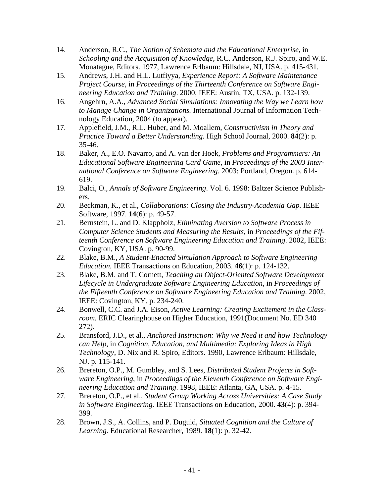- 14. Anderson, R.C., *The Notion of Schemata and the Educational Enterprise*, in *Schooling and the Acquisition of Knowledge*, R.C. Anderson, R.J. Spiro, and W.E. Monatague, Editors. 1977, Lawrence Erlbaum: Hillsdale, NJ, USA. p. 415-431.
- 15. Andrews, J.H. and H.L. Lutfiyya, *Experience Report: A Software Maintenance Project Course*, in *Proceedings of the Thirteenth Conference on Software Engineering Education and Training*. 2000, IEEE: Austin, TX, USA. p. 132-139.
- 16. Angehrn, A.A., *Advanced Social Simulations: Innovating the Way we Learn how to Manage Change in Organizations.* International Journal of Information Technology Education, 2004 (to appear).
- 17. Applefield, J.M., R.L. Huber, and M. Moallem, *Constructivism in Theory and Practice Toward a Better Understanding.* High School Journal, 2000. **84**(2): p. 35-46.
- 18. Baker, A., E.O. Navarro, and A. van der Hoek, *Problems and Programmers: An Educational Software Engineering Card Game*, in *Proceedings of the 2003 International Conference on Software Engineering*. 2003: Portland, Oregon. p. 614- 619.
- 19. Balci, O., *Annals of Software Engineering*. Vol. 6. 1998: Baltzer Science Publishers.
- 20. Beckman, K., et al., *Collaborations: Closing the Industry-Academia Gap.* IEEE Software, 1997. **14**(6): p. 49-57.
- 21. Bernstein, L. and D. Klappholz, *Eliminating Aversion to Software Process in Computer Science Students and Measuring the Results*, in *Proceedings of the Fifteenth Conference on Software Engineering Education and Training*. 2002, IEEE: Covington, KY, USA. p. 90-99.
- 22. Blake, B.M., *A Student-Enacted Simulation Approach to Software Engineering Education.* IEEE Transactions on Education, 2003. **46**(1): p. 124-132.
- 23. Blake, B.M. and T. Cornett, *Teaching an Object-Oriented Software Development Lifecycle in Undergraduate Software Engineering Education*, in *Proceedings of the Fifteenth Conference on Software Engineering Education and Training*. 2002, IEEE: Covington, KY. p. 234-240.
- 24. Bonwell, C.C. and J.A. Eison, *Active Learning: Creating Excitement in the Classroom.* ERIC Clearinghouse on Higher Education, 1991(Document No. ED 340 272).
- 25. Bransford, J.D., et al., *Anchored Instruction: Why we Need it and how Technology can Help*, in *Cognition, Education, and Multimedia: Exploring Ideas in High Technology*, D. Nix and R. Spiro, Editors. 1990, Lawrence Erlbaum: Hillsdale, NJ. p. 115-141.
- 26. Brereton, O.P., M. Gumbley, and S. Lees, *Distributed Student Projects in Software Engineering*, in *Proceedings of the Eleventh Conference on Software Engineering Education and Training*. 1998, IEEE: Atlanta, GA, USA. p. 4-15.
- 27. Brereton, O.P., et al., *Student Group Working Across Universities: A Case Study in Software Engineering.* IEEE Transactions on Education, 2000. **43**(4): p. 394- 399.
- 28. Brown, J.S., A. Collins, and P. Duguid, *Situated Cognition and the Culture of Learning.* Educational Researcher, 1989. **18**(1): p. 32-42.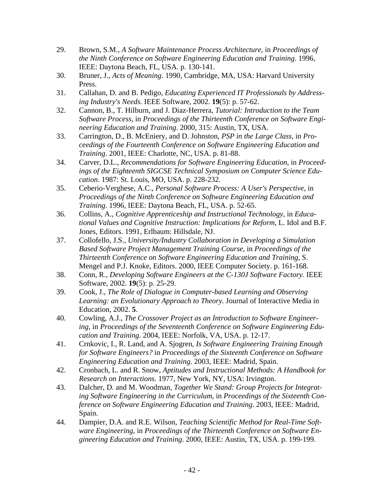- 29. Brown, S.M., *A Software Maintenance Process Architecture*, in *Proceedings of the Ninth Conference on Software Engineering Education and Training*. 1996, IEEE: Daytona Beach, FL, USA. p. 130-141.
- 30. Bruner, J., *Acts of Meaning*. 1990, Cambridge, MA, USA: Harvard University Press.
- 31. Callahan, D. and B. Pedigo, *Educating Experienced IT Professionals by Addressing Industry's Needs.* IEEE Software, 2002. **19**(5): p. 57-62.
- 32. Cannon, B., T. Hilburn, and J. Diaz-Herrera, *Tutorial: Introduction to the Team Software Process*, in *Proceedings of the Thirteenth Conference on Software Engineering Education and Training*. 2000, 315: Austin, TX, USA.
- 33. Carrington, D., B. McEniery, and D. Johnston, *PSP in the Large Class*, in *Proceedings of the Fourteenth Conference on Software Engineering Education and Training*. 2001, IEEE: Charlotte, NC, USA. p. 81-88.
- 34. Carver, D.L., *Recommendations for Software Engineering Education*, in *Proceedings of the Eighteenth SIGCSE Technical Symposium on Computer Science Education*. 1987: St. Louis, MO, USA. p. 228-232.
- 35. Ceberio-Verghese, A.C., *Personal Software Process: A User's Perspective*, in *Proceedings of the Ninth Conference on Software Engineering Education and Training*. 1996, IEEE: Daytona Beach, FL, USA. p. 52-65.
- 36. Collins, A., *Cognitive Apprenticeship and Instructional Technology*, in *Educational Values and Cognitive Instruction: Implications for Reform*, L. Idol and B.F. Jones, Editors. 1991, Erlbaum: Hillsdale, NJ.
- 37. Collofello, J.S., *University/Industry Collaboration in Developing a Simulation Based Software Project Management Training Course*, in *Proceedings of the Thirteenth Conference on Software Engineering Education and Training*, S. Mengel and P.J. Knoke, Editors. 2000, IEEE Computer Society. p. 161-168.
- 38. Conn, R., *Developing Software Engineers at the C-130J Software Factory.* IEEE Software, 2002. **19**(5): p. 25-29.
- 39. Cook, J., *The Role of Dialogue in Computer-based Learning and Observing Learning: an Evolutionary Approach to Theory.* Journal of Interactive Media in Education, 2002. **5**.
- 40. Cowling, A.J., *The Crossover Project as an Introduction to Software Engineering*, in *Proceedings of the Seventeenth Conference on Software Engineering Education and Training*. 2004, IEEE: Norfolk, VA, USA. p. 12-17.
- 41. Crnkovic, I., R. Land, and A. Sjogren, *Is Software Engineering Training Enough for Software Engineers?* in *Proceedings of the Sixteenth Conference on Software Engineering Education and Training*. 2003, IEEE: Madrid, Spain.
- 42. Cronbach, L. and R. Snow, *Aptitudes and Instructional Methods: A Handbook for Research on Interactions*. 1977, New York, NY, USA: Irvington.
- 43. Dalcher, D. and M. Woodman, *Together We Stand: Group Projects for Integrating Software Engineering in the Curriculum*, in *Proceedings of the Sixteenth Conference on Software Engineering Education and Training*. 2003, IEEE: Madrid, Spain.
- 44. Dampier, D.A. and R.E. Wilson, *Teaching Scientific Method for Real-Time Software Engineering*, in *Proceedings of the Thirteenth Conference on Software Engineering Education and Training*. 2000, IEEE: Austin, TX, USA. p. 199-199.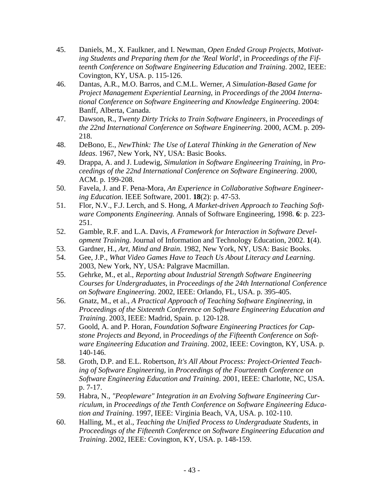- 45. Daniels, M., X. Faulkner, and I. Newman, *Open Ended Group Projects, Motivating Students and Preparing them for the 'Real World'*, in *Proceedings of the Fifteenth Conference on Software Engineering Education and Training*. 2002, IEEE: Covington, KY, USA. p. 115-126.
- 46. Dantas, A.R., M.O. Barros, and C.M.L. Werner, *A Simulation-Based Game for Project Management Experiential Learning*, in *Proceedings of the 2004 International Conference on Software Engineering and Knowledge Engineering*. 2004: Banff, Alberta, Canada.
- 47. Dawson, R., *Twenty Dirty Tricks to Train Software Engineers*, in *Proceedings of the 22nd International Conference on Software Engineering*. 2000, ACM. p. 209- 218.
- 48. DeBono, E., *NewThink: The Use of Lateral Thinking in the Generation of New Ideas*. 1967, New York, NY, USA: Basic Books.
- 49. Drappa, A. and J. Ludewig, *Simulation in Software Engineering Training*, in *Proceedings of the 22nd International Conference on Software Engineering*. 2000, ACM. p. 199-208.
- 50. Favela, J. and F. Pena-Mora, *An Experience in Collaborative Software Engineering Education.* IEEE Software, 2001. **18**(2): p. 47-53.
- 51. Flor, N.V., F.J. Lerch, and S. Hong, *A Market-driven Approach to Teaching Software Components Engineering.* Annals of Software Engineering, 1998. **6**: p. 223- 251.
- 52. Gamble, R.F. and L.A. Davis, *A Framework for Interaction in Software Development Training.* Journal of Information and Technology Education, 2002. **1**(4).
- 53. Gardner, H., *Art, Mind and Brain*. 1982, New York, NY, USA: Basic Books.
- 54. Gee, J.P., *What Video Games Have to Teach Us About Literacy and Learning*. 2003, New York, NY, USA: Palgrave Macmillan.
- 55. Gehrke, M., et al., *Reporting about Industrial Strength Software Engineering Courses for Undergraduates*, in *Proceedings of the 24th International Conference on Software Engineering*. 2002, IEEE: Orlando, FL, USA. p. 395-405.
- 56. Gnatz, M., et al., *A Practical Approach of Teaching Software Engineering*, in *Proceedings of the Sixteenth Conference on Software Engineering Education and Training*. 2003, IEEE: Madrid, Spain. p. 120-128.
- 57. Goold, A. and P. Horan, *Foundation Software Engineering Practices for Capstone Projects and Beyond*, in *Proceedings of the Fifteenth Conference on Software Engineering Education and Training*. 2002, IEEE: Covington, KY, USA. p. 140-146.
- 58. Groth, D.P. and E.L. Robertson, *It's All About Process: Project-Oriented Teaching of Software Engineering*, in *Proceedings of the Fourteenth Conference on Software Engineering Education and Training*. 2001, IEEE: Charlotte, NC, USA. p. 7-17.
- 59. Habra, N., *"Peopleware" Integration in an Evolving Software Engineering Curriculum*, in *Proceedings of the Tenth Conference on Software Engineering Education and Training*. 1997, IEEE: Virginia Beach, VA, USA. p. 102-110.
- 60. Halling, M., et al., *Teaching the Unified Process to Undergraduate Students*, in *Proceedings of the Fifteenth Conference on Software Engineering Education and Training*. 2002, IEEE: Covington, KY, USA. p. 148-159.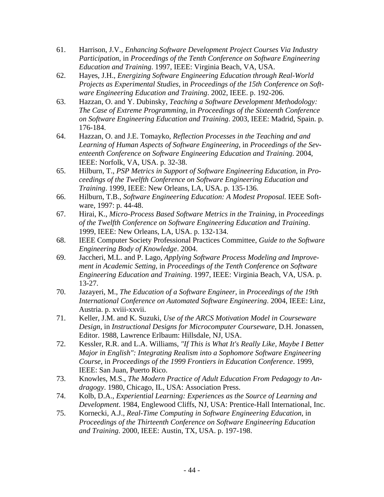- 61. Harrison, J.V., *Enhancing Software Development Project Courses Via Industry Participation*, in *Proceedings of the Tenth Conference on Software Engineering Education and Training*. 1997, IEEE: Virginia Beach, VA, USA.
- 62. Hayes, J.H., *Energizing Software Engineering Education through Real-World Projects as Experimental Studies*, in *Proceedings of the 15th Conference on Software Engineering Education and Training*. 2002, IEEE. p. 192-206.
- 63. Hazzan, O. and Y. Dubinsky, *Teaching a Software Development Methodology: The Case of Extreme Programming*, in *Proceedings of the Sixteenth Conference on Software Engineering Education and Training*. 2003, IEEE: Madrid, Spain. p. 176-184.
- 64. Hazzan, O. and J.E. Tomayko, *Reflection Processes in the Teaching and and Learning of Human Aspects of Software Engineering*, in *Proceedings of the Seventeenth Conference on Software Engineering Education and Training*. 2004, IEEE: Norfolk, VA, USA. p. 32-38.
- 65. Hilburn, T., *PSP Metrics in Support of Software Engineering Education*, in *Proceedings of the Twelfth Conference on Software Engineering Education and Training*. 1999, IEEE: New Orleans, LA, USA. p. 135-136.
- 66. Hilburn, T.B., *Software Engineering Education: A Modest Proposal.* IEEE Software, 1997: p. 44-48.
- 67. Hirai, K., *Micro-Process Based Software Metrics in the Training*, in *Proceedings of the Twelfth Conference on Software Engineering Education and Training*. 1999, IEEE: New Orleans, LA, USA. p. 132-134.
- 68. IEEE Computer Society Professional Practices Committee, *Guide to the Software Engineering Body of Knowledge*. 2004.
- 69. Jaccheri, M.L. and P. Lago, *Applying Software Process Modeling and Improvement in Academic Setting*, in *Proceedings of the Tenth Conference on Software Engineering Education and Training*. 1997, IEEE: Virginia Beach, VA, USA. p. 13-27.
- 70. Jazayeri, M., *The Education of a Software Engineer*, in *Proceedings of the 19th International Conference on Automated Software Engineering*. 2004, IEEE: Linz, Austria. p. xviii-xxvii.
- 71. Keller, J.M. and K. Suzuki, *Use of the ARCS Motivation Model in Courseware Design*, in *Instructional Designs for Microcomputer Courseware*, D.H. Jonassen, Editor. 1988, Lawrence Erlbaum: Hillsdale, NJ, USA.
- 72. Kessler, R.R. and L.A. Williams, *"If This is What It's Really Like, Maybe I Better Major in English": Integrating Realism into a Sophomore Software Engineering Course*, in *Proceedings of the 1999 Frontiers in Education Conference*. 1999, IEEE: San Juan, Puerto Rico.
- 73. Knowles, M.S., *The Modern Practice of Adult Education From Pedagogy to Andragogy*. 1980, Chicago, IL, USA: Association Press.
- 74. Kolb, D.A., *Experiential Learning: Experiences as the Source of Learning and Development*. 1984, Englewood Cliffs, NJ, USA: Prentice-Hall International, Inc.
- 75. Kornecki, A.J., *Real-Time Computing in Software Engineering Education*, in *Proceedings of the Thirteenth Conference on Software Engineering Education and Training*. 2000, IEEE: Austin, TX, USA. p. 197-198.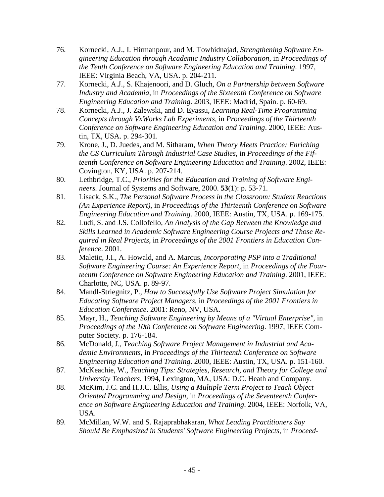- 76. Kornecki, A.J., I. Hirmanpour, and M. Towhidnajad, *Strengthening Software Engineering Education through Academic Industry Collaboration*, in *Proceedings of the Tenth Conference on Software Engineering Education and Training*. 1997, IEEE: Virginia Beach, VA, USA. p. 204-211.
- 77. Kornecki, A.J., S. Khajenoori, and D. Gluch, *On a Partnership between Software Industry and Academia*, in *Proceedings of the Sixteenth Conference on Software Engineering Education and Training*. 2003, IEEE: Madrid, Spain. p. 60-69.
- 78. Kornecki, A.J., J. Zalewski, and D. Eyassu, *Learning Real-Time Programming Concepts through VxWorks Lab Experiments*, in *Proceedings of the Thirteenth Conference on Software Engineering Education and Training*. 2000, IEEE: Austin, TX, USA. p. 294-301.
- 79. Krone, J., D. Juedes, and M. Sitharam, *When Theory Meets Practice: Enriching the CS Curriculum Through Industrial Case Studies*, in *Proceedings of the Fifteenth Conference on Software Engineering Education and Training*. 2002, IEEE: Covington, KY, USA. p. 207-214.
- 80. Lethbridge, T.C., *Priorities for the Education and Training of Software Engineers.* Journal of Systems and Software, 2000. **53**(1): p. 53-71.
- 81. Lisack, S.K., *The Personal Software Process in the Classroom: Student Reactions (An Experience Report)*, in *Proceedings of the Thirteenth Conference on Software Engineering Education and Training*. 2000, IEEE: Austin, TX, USA. p. 169-175.
- 82. Ludi, S. and J.S. Collofello, *An Analysis of the Gap Between the Knowledge and Skills Learned in Academic Software Engineering Course Projects and Those Required in Real Projects*, in *Proceedings of the 2001 Frontiers in Education Conference*. 2001.
- 83. Maletic, J.I., A. Howald, and A. Marcus, *Incorporating PSP into a Traditional Software Engineering Course: An Experience Report*, in *Proceedings of the Fourteenth Conference on Software Engineering Education and Training*. 2001, IEEE: Charlotte, NC, USA. p. 89-97.
- 84. Mandl-Striegnitz, P., *How to Successfully Use Software Project Simulation for Educating Software Project Managers*, in *Proceedings of the 2001 Frontiers in Education Conference*. 2001: Reno, NV, USA.
- 85. Mayr, H., *Teaching Software Engineering by Means of a "Virtual Enterprise"*, in *Proceedings of the 10th Conference on Software Engineering*. 1997, IEEE Computer Society. p. 176-184.
- 86. McDonald, J., *Teaching Software Project Management in Industrial and Academic Environments*, in *Proceedings of the Thirteenth Conference on Software Engineering Education and Training*. 2000, IEEE: Austin, TX, USA. p. 151-160.
- 87. McKeachie, W., *Teaching Tips: Strategies, Research, and Theory for College and University Teachers*. 1994, Lexington, MA, USA: D.C. Heath and Company.
- 88. McKim, J.C. and H.J.C. Ellis, *Using a Multiple Term Project to Teach Object Oriented Programming and Design*, in *Proceedings of the Seventeenth Conference on Software Engineering Education and Training*. 2004, IEEE: Norfolk, VA, USA.
- 89. McMillan, W.W. and S. Rajaprabhakaran, *What Leading Practitioners Say Should Be Emphasized in Students' Software Engineering Projects*, in *Proceed-*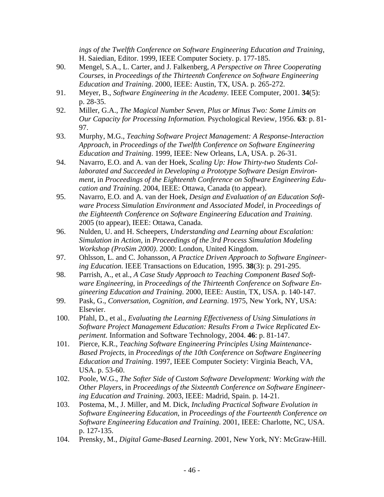*ings of the Twelfth Conference on Software Engineering Education and Training*, H. Saiedian, Editor. 1999, IEEE Computer Society. p. 177-185.

- 90. Mengel, S.A., L. Carter, and J. Falkenberg, *A Perspective on Three Cooperating Courses*, in *Proceedings of the Thirteenth Conference on Software Engineering Education and Training*. 2000, IEEE: Austin, TX, USA. p. 265-272.
- 91. Meyer, B., *Software Engineering in the Academy.* IEEE Computer, 2001. **34**(5): p. 28-35.
- 92. Miller, G.A., *The Magical Number Seven, Plus or Minus Two: Some Limits on Our Capacity for Processing Information.* Psychological Review, 1956. **63**: p. 81- 97.
- 93. Murphy, M.G., *Teaching Software Project Management: A Response-Interaction Approach*, in *Proceedings of the Twelfth Conference on Software Engineering Education and Training*. 1999, IEEE: New Orleans, LA, USA. p. 26-31.
- 94. Navarro, E.O. and A. van der Hoek, *Scaling Up: How Thirty-two Students Collaborated and Succeeded in Developing a Prototype Software Design Environment*, in *Proceedings of the Eighteenth Conference on Software Engineering Education and Training*. 2004, IEEE: Ottawa, Canada (to appear).
- 95. Navarro, E.O. and A. van der Hoek, *Design and Evaluation of an Education Software Process Simulation Environment and Associated Model*, in *Proceedings of the Eighteenth Conference on Software Engineering Education and Training*. 2005 (to appear), IEEE: Ottawa, Canada.
- 96. Nulden, U. and H. Scheepers, *Understanding and Learning about Escalation: Simulation in Action*, in *Proceedings of the 3rd Process Simulation Modeling Workshop (ProSim 2000)*. 2000: London, United Kingdom.
- 97. Ohlsson, L. and C. Johansson, *A Practice Driven Approach to Software Engineering Education.* IEEE Transactions on Education, 1995. **38**(3): p. 291-295.
- 98. Parrish, A., et al., *A Case Study Approach to Teaching Component Based Software Engineering*, in *Proceedings of the Thirteenth Conference on Software Engineering Education and Training*. 2000, IEEE: Austin, TX, USA. p. 140-147.
- 99. Pask, G., *Conversation, Cognition, and Learning*. 1975, New York, NY, USA: Elsevier.
- 100. Pfahl, D., et al., *Evaluating the Learning Effectiveness of Using Simulations in Software Project Management Education: Results From a Twice Replicated Experiment.* Information and Software Technology, 2004. **46**: p. 81-147.
- 101. Pierce, K.R., *Teaching Software Engineering Principles Using Maintenance-Based Projects*, in *Proceedings of the 10th Conference on Software Engineering Education and Training*. 1997, IEEE Computer Society: Virginia Beach, VA, USA. p. 53-60.
- 102. Poole, W.G., *The Softer Side of Custom Software Development: Working with the Other Players*, in *Proceedings of the Sixteenth Conference on Software Engineering Education and Training*. 2003, IEEE: Madrid, Spain. p. 14-21.
- 103. Postema, M., J. Miller, and M. Dick, *Including Practical Software Evolution in Software Engineering Education*, in *Proceedings of the Fourteenth Conference on Software Engineering Education and Training*. 2001, IEEE: Charlotte, NC, USA. p. 127-135.
- 104. Prensky, M., *Digital Game-Based Learning*. 2001, New York, NY: McGraw-Hill.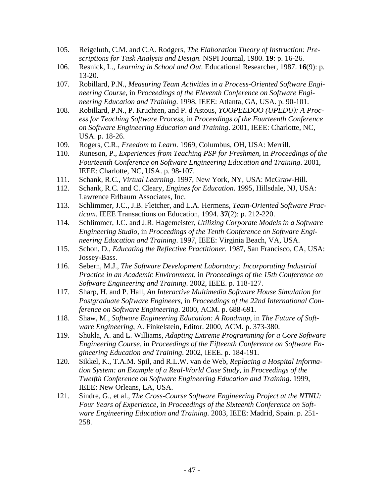- 105. Reigeluth, C.M. and C.A. Rodgers, *The Elaboration Theory of Instruction: Prescriptions for Task Analysis and Design.* NSPI Journal, 1980. **19**: p. 16-26.
- 106. Resnick, L., *Learning in School and Out.* Educational Researcher, 1987. **16**(9): p. 13-20.
- 107. Robillard, P.N., *Measuring Team Activities in a Process-Oriented Software Engineering Course*, in *Proceedings of the Eleventh Conference on Software Engineering Education and Training*. 1998, IEEE: Atlanta, GA, USA. p. 90-101.
- 108. Robillard, P.N., P. Kruchten, and P. d'Astous, *YOOPEEDOO (UPEDU): A Process for Teaching Software Process*, in *Proceedings of the Fourteenth Conference on Software Engineering Education and Training*. 2001, IEEE: Charlotte, NC, USA. p. 18-26.
- 109. Rogers, C.R., *Freedom to Learn*. 1969, Columbus, OH, USA: Merrill.
- 110. Runeson, P., *Experiences from Teaching PSP for Freshmen*, in *Proceedings of the Fourteenth Conference on Software Engineering Education and Training*. 2001, IEEE: Charlotte, NC, USA. p. 98-107.
- 111. Schank, R.C., *Virtual Learning*. 1997, New York, NY, USA: McGraw-Hill.
- 112. Schank, R.C. and C. Cleary, *Engines for Education*. 1995, Hillsdale, NJ, USA: Lawrence Erlbaum Associates, Inc.
- 113. Schlimmer, J.C., J.B. Fletcher, and L.A. Hermens, *Team-Oriented Software Practicum.* IEEE Transactions on Education, 1994. **37**(2): p. 212-220.
- 114. Schlimmer, J.C. and J.R. Hagemeister, *Utilizing Corporate Models in a Software Engineering Studio*, in *Proceedings of the Tenth Conference on Software Engineering Education and Training*. 1997, IEEE: Virginia Beach, VA, USA.
- 115. Schon, D., *Educating the Reflective Practitioner*. 1987, San Francisco, CA, USA: Jossey-Bass.
- 116. Sebern, M.J., *The Software Development Laboratory: Incorporating Industrial Practice in an Academic Environment*, in *Proceedings of the 15th Conference on Software Engineering and Training*. 2002, IEEE. p. 118-127.
- 117. Sharp, H. and P. Hall, *An Interactive Multimedia Software House Simulation for Postgraduate Software Engineers*, in *Proceedings of the 22nd International Conference on Software Engineering*. 2000, ACM. p. 688-691.
- 118. Shaw, M., *Software Engineering Education: A Roadmap*, in *The Future of Software Engineering*, A. Finkelstein, Editor. 2000, ACM. p. 373-380.
- 119. Shukla, A. and L. Williams, *Adapting Extreme Programming for a Core Software Engineering Course*, in *Proceedings of the Fifteenth Conference on Software Engineering Education and Training*. 2002, IEEE. p. 184-191.
- 120. Sikkel, K., T.A.M. Spil, and R.L.W. van de Web, *Replacing a Hospital Information System: an Example of a Real-World Case Study*, in *Proceedings of the Twelfth Conference on Software Engineering Education and Training*. 1999, IEEE: New Orleans, LA, USA.
- 121. Sindre, G., et al., *The Cross-Course Software Engineering Project at the NTNU: Four Years of Experience*, in *Proceedings of the Sixteenth Conference on Software Engineering Education and Training*. 2003, IEEE: Madrid, Spain. p. 251- 258.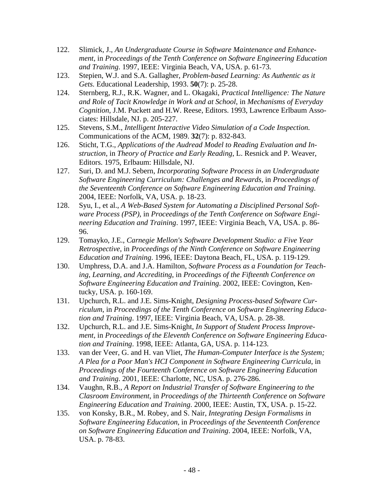- 122. Slimick, J., *An Undergraduate Course in Software Maintenance and Enhancement*, in *Proceedings of the Tenth Conference on Software Engineering Education and Training*. 1997, IEEE: Virginia Beach, VA, USA. p. 61-73.
- 123. Stepien, W.J. and S.A. Gallagher, *Problem-based Learning: As Authentic as it Gets.* Educational Leadership, 1993. **50**(7): p. 25-28.
- 124. Sternberg, R.J., R.K. Wagner, and L. Okagaki, *Practical Intelligence: The Nature and Role of Tacit Knowledge in Work and at School*, in *Mechanisms of Everyday Cognition*, J.M. Puckett and H.W. Reese, Editors. 1993, Lawrence Erlbaum Associates: Hillsdale, NJ. p. 205-227.
- 125. Stevens, S.M., *Intelligent Interactive Video Simulation of a Code Inspection.* Communications of the ACM, 1989. **32**(7): p. 832-843.
- 126. Sticht, T.G., *Applications of the Audread Model to Reading Evaluation and Instruction*, in *Theory of Practice and Early Reading*, L. Resnick and P. Weaver, Editors. 1975, Erlbaum: Hillsdale, NJ.
- 127. Suri, D. and M.J. Sebern, *Incorporating Software Process in an Undergraduate Software Engineering Curriculum: Challenges and Rewards*, in *Proceedings of the Seventeenth Conference on Software Engineering Education and Training*. 2004, IEEE: Norfolk, VA, USA. p. 18-23.
- 128. Syu, I., et al., *A Web-Based System for Automating a Disciplined Personal Software Process (PSP)*, in *Proceedings of the Tenth Conference on Software Engineering Education and Training*. 1997, IEEE: Virginia Beach, VA, USA. p. 86- 96.
- 129. Tomayko, J.E., *Carnegie Mellon's Software Development Studio: a Five Year Retrospective*, in *Proceedings of the Ninth Conference on Software Engineering Education and Training*. 1996, IEEE: Daytona Beach, FL, USA. p. 119-129.
- 130. Umphress, D.A. and J.A. Hamilton, *Software Process as a Foundation for Teaching, Learning, and Accrediting*, in *Proceedings of the Fifteenth Conference on Software Engineering Education and Training*. 2002, IEEE: Covington, Kentucky, USA. p. 160-169.
- 131. Upchurch, R.L. and J.E. Sims-Knight, *Designing Process-based Software Curriculum*, in *Proceedings of the Tenth Conference on Software Engineering Education and Training*. 1997, IEEE: Virginia Beach, VA, USA. p. 28-38.
- 132. Upchurch, R.L. and J.E. Sims-Knight, *In Support of Student Process Improvement*, in *Proceedings of the Eleventh Conference on Software Engineering Education and Training*. 1998, IEEE: Atlanta, GA, USA. p. 114-123.
- 133. van der Veer, G. and H. van Vliet, *The Human-Computer Interface is the System; A Plea for a Poor Man's HCI Component in Software Engineering Curricula*, in *Proceedings of the Fourteenth Conference on Software Engineering Education and Training*. 2001, IEEE: Charlotte, NC, USA. p. 276-286.
- 134. Vaughn, R.B., *A Report on Industrial Transfer of Software Engineering to the Clasroom Environment*, in *Proceedings of the Thirteenth Conference on Software Engineering Education and Training*. 2000, IEEE: Austin, TX, USA. p. 15-22.
- 135. von Konsky, B.R., M. Robey, and S. Nair, *Integrating Design Formalisms in Software Engineering Education*, in *Proceedings of the Seventeenth Conference on Software Engineering Education and Training*. 2004, IEEE: Norfolk, VA, USA. p. 78-83.